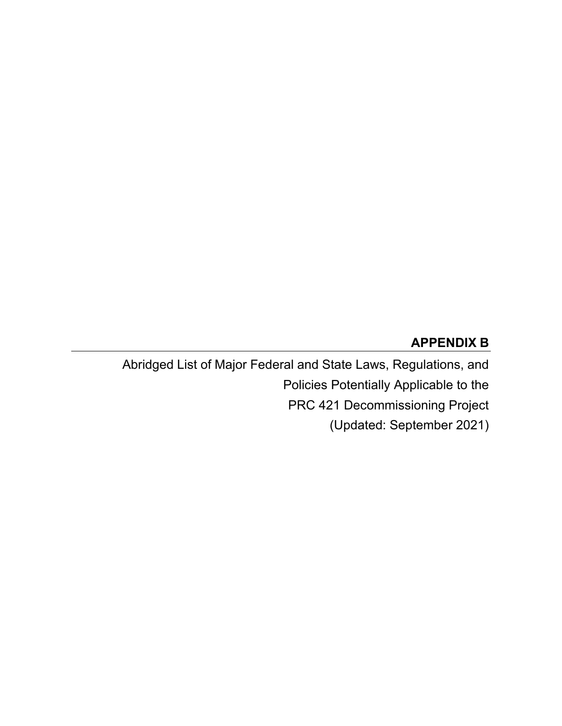#### **APPENDIX B**

Abridged List of Major Federal and State Laws, Regulations, and Policies Potentially Applicable to the PRC 421 Decommissioning Project (Updated: September 2021)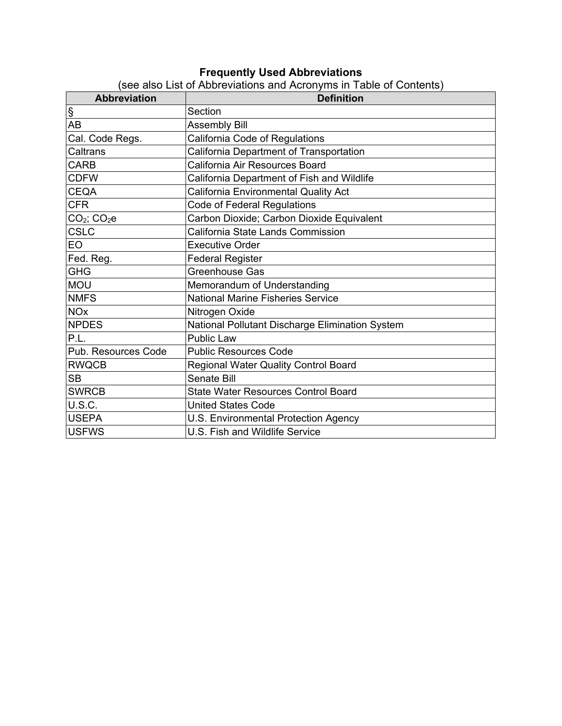#### **Frequently Used Abbreviations**

| <b>Abbreviation</b>   | <b>Definition</b>                               |
|-----------------------|-------------------------------------------------|
| $rac{\S}{AB}$         | Section                                         |
|                       | <b>Assembly Bill</b>                            |
| Cal. Code Regs.       | California Code of Regulations                  |
| Caltrans              | California Department of Transportation         |
| <b>CARB</b>           | California Air Resources Board                  |
| <b>CDFW</b>           | California Department of Fish and Wildlife      |
| <b>CEQA</b>           | California Environmental Quality Act            |
| <b>CFR</b>            | <b>Code of Federal Regulations</b>              |
| $CO2$ ; $CO2e$        | Carbon Dioxide; Carbon Dioxide Equivalent       |
| <b>CSLC</b>           | California State Lands Commission               |
| <b>EO</b>             | <b>Executive Order</b>                          |
| Fed. Reg.             | <b>Federal Register</b>                         |
| GHG                   | Greenhouse Gas                                  |
| <b>MOU</b>            | Memorandum of Understanding                     |
| <b>NMFS</b>           | <b>National Marine Fisheries Service</b>        |
| <b>NO<sub>x</sub></b> | Nitrogen Oxide                                  |
| <b>NPDES</b>          | National Pollutant Discharge Elimination System |
| P.L.                  | <b>Public Law</b>                               |
| Pub. Resources Code   | <b>Public Resources Code</b>                    |
| <b>RWQCB</b>          | Regional Water Quality Control Board            |
| <b>SB</b>             | <b>Senate Bill</b>                              |
| <b>SWRCB</b>          | <b>State Water Resources Control Board</b>      |
| U.S.C.                | <b>United States Code</b>                       |
| USEPA                 | U.S. Environmental Protection Agency            |
| <b>IUSFWS</b>         | U.S. Fish and Wildlife Service                  |

(see also List of Abbreviations and Acronyms in Table of Contents)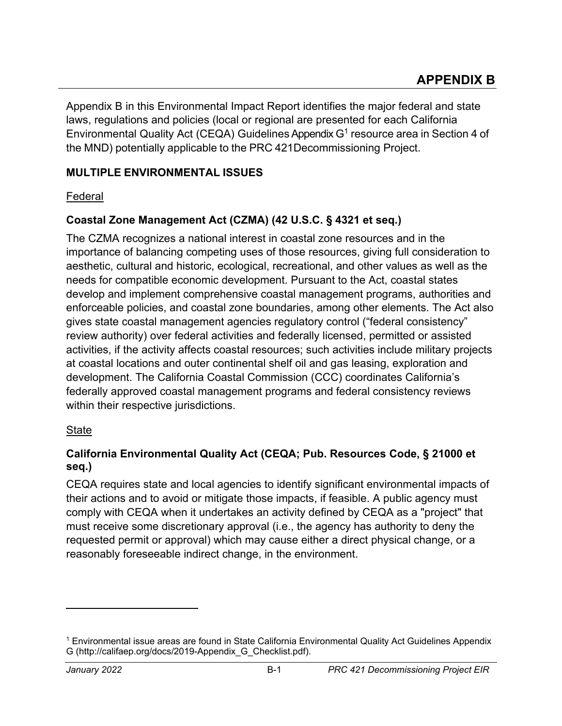Appendix B in this Environmental Impact Report identifies the major federal and state laws, regulations and policies (local or regional are presented for each California Environmental Quality Act (CEQA) Guidelines Appendix  $G<sup>1</sup>$  resource area in Section 4 of the MND) potentially applicable to the PRC 421Decommissioning Project.

### **MULTIPLE ENVIRONMENTAL ISSUES**

### Federal

### **Coastal Zone Management Act (CZMA) (42 U.S.C. § 4321 et seq.)**

The CZMA recognizes a national interest in coastal zone resources and in the importance of balancing competing uses of those resources, giving full consideration to aesthetic, cultural and historic, ecological, recreational, and other values as well as the needs for compatible economic development. Pursuant to the Act, coastal states develop and implement comprehensive coastal management programs, authorities and enforceable policies, and coastal zone boundaries, among other elements. The Act also gives state coastal management agencies regulatory control ("federal consistency" review authority) over federal activities and federally licensed, permitted or assisted activities, if the activity affects coastal resources; such activities include military projects at coastal locations and outer continental shelf oil and gas leasing, exploration and development. The California Coastal Commission (CCC) coordinates California's federally approved coastal management programs and federal consistency reviews within their respective jurisdictions.

#### State

### **California Environmental Quality Act (CEQA; Pub. Resources Code, § 21000 et seq.)**

CEQA requires state and local agencies to identify significant environmental impacts of their actions and to avoid or mitigate those impacts, if feasible. A public agency must comply with CEQA when it undertakes an activity defined by CEQA as a "project" that must receive some discretionary approval (i.e., the agency has authority to deny the requested permit or approval) which may cause either a direct physical change, or a reasonably foreseeable indirect change, in the environment.

<span id="page-3-0"></span><sup>1</sup> Environmental issue areas are found in State California Environmental Quality Act Guidelines Appendix G (http://califaep.org/docs/2019-Appendix\_G\_Checklist.pdf).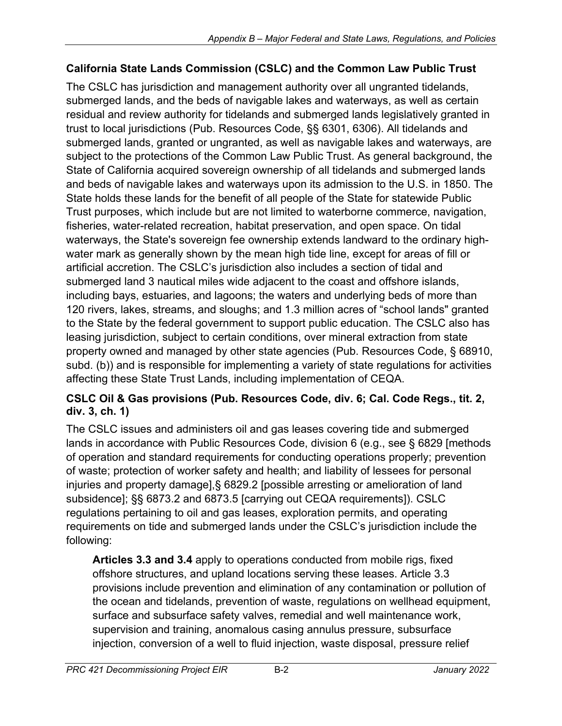## **California State Lands Commission (CSLC) and the Common Law Public Trust**

The CSLC has jurisdiction and management authority over all ungranted tidelands, submerged lands, and the beds of navigable lakes and waterways, as well as certain residual and review authority for tidelands and submerged lands legislatively granted in trust to local jurisdictions (Pub. Resources Code, §§ 6301, 6306). All tidelands and submerged lands, granted or ungranted, as well as navigable lakes and waterways, are subject to the protections of the Common Law Public Trust. As general background, the State of California acquired sovereign ownership of all tidelands and submerged lands and beds of navigable lakes and waterways upon its admission to the U.S. in 1850. The State holds these lands for the benefit of all people of the State for statewide Public Trust purposes, which include but are not limited to waterborne commerce, navigation, fisheries, water-related recreation, habitat preservation, and open space. On tidal waterways, the State's sovereign fee ownership extends landward to the ordinary highwater mark as generally shown by the mean high tide line, except for areas of fill or artificial accretion. The CSLC's jurisdiction also includes a section of tidal and submerged land 3 nautical miles wide adjacent to the coast and offshore islands, including bays, estuaries, and lagoons; the waters and underlying beds of more than 120 rivers, lakes, streams, and sloughs; and 1.3 million acres of "school lands" granted to the State by the federal government to support public education. The CSLC also has leasing jurisdiction, subject to certain conditions, over mineral extraction from state property owned and managed by other state agencies (Pub. Resources Code, § 68910, subd. (b)) and is responsible for implementing a variety of state regulations for activities affecting these State Trust Lands, including implementation of CEQA.

### **CSLC Oil & Gas provisions (Pub. Resources Code, div. 6; Cal. Code Regs., tit. 2, div. 3, ch. 1)**

The CSLC issues and administers oil and gas leases covering tide and submerged lands in accordance with Public Resources Code, division 6 (e.g., see § 6829 [methods of operation and standard requirements for conducting operations properly; prevention of waste; protection of worker safety and health; and liability of lessees for personal injuries and property damage],§ 6829.2 [possible arresting or amelioration of land subsidence]; §§ 6873.2 and 6873.5 [carrying out CEQA requirements]). CSLC regulations pertaining to oil and gas leases, exploration permits, and operating requirements on tide and submerged lands under the CSLC's jurisdiction include the following:

**Articles 3.3 and 3.4** apply to operations conducted from mobile rigs, fixed offshore structures, and upland locations serving these leases. Article 3.3 provisions include prevention and elimination of any contamination or pollution of the ocean and tidelands, prevention of waste, regulations on wellhead equipment, surface and subsurface safety valves, remedial and well maintenance work, supervision and training, anomalous casing annulus pressure, subsurface injection, conversion of a well to fluid injection, waste disposal, pressure relief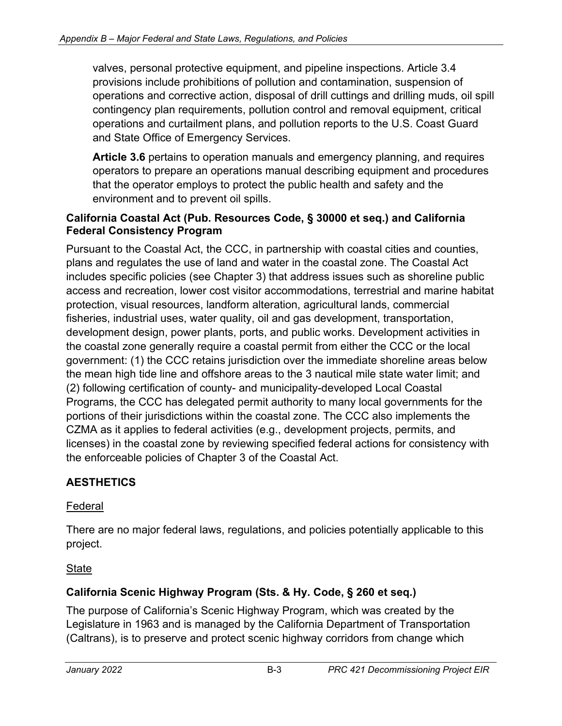valves, personal protective equipment, and pipeline inspections. Article 3.4 provisions include prohibitions of pollution and contamination, suspension of operations and corrective action, disposal of drill cuttings and drilling muds, oil spill contingency plan requirements, pollution control and removal equipment, critical operations and curtailment plans, and pollution reports to the U.S. Coast Guard and State Office of Emergency Services.

**Article 3.6** pertains to operation manuals and emergency planning, and requires operators to prepare an operations manual describing equipment and procedures that the operator employs to protect the public health and safety and the environment and to prevent oil spills.

#### **California Coastal Act (Pub. Resources Code, § 30000 et seq.) and California Federal Consistency Program**

Pursuant to the Coastal Act, the CCC, in partnership with coastal cities and counties, plans and regulates the use of land and water in the coastal zone. The Coastal Act includes specific policies (see Chapter 3) that address issues such as shoreline public access and recreation, lower cost visitor accommodations, terrestrial and marine habitat protection, visual resources, landform alteration, agricultural lands, commercial fisheries, industrial uses, water quality, oil and gas development, transportation, development design, power plants, ports, and public works. Development activities in the coastal zone generally require a coastal permit from either the CCC or the local government: (1) the CCC retains jurisdiction over the immediate shoreline areas below the mean high tide line and offshore areas to the 3 nautical mile state water limit; and (2) following certification of county- and municipality-developed Local Coastal Programs, the CCC has delegated permit authority to many local governments for the portions of their jurisdictions within the coastal zone. The CCC also implements the CZMA as it applies to federal activities (e.g., development projects, permits, and licenses) in the coastal zone by reviewing specified federal actions for consistency with the enforceable policies of Chapter 3 of the Coastal Act.

## **AESTHETICS**

### Federal

There are no major federal laws, regulations, and policies potentially applicable to this project.

## **State**

## **California Scenic Highway Program (Sts. & Hy. Code, § 260 et seq.)**

The purpose of California's Scenic Highway Program, which was created by the Legislature in 1963 and is managed by the California Department of Transportation (Caltrans), is to preserve and protect scenic highway corridors from change which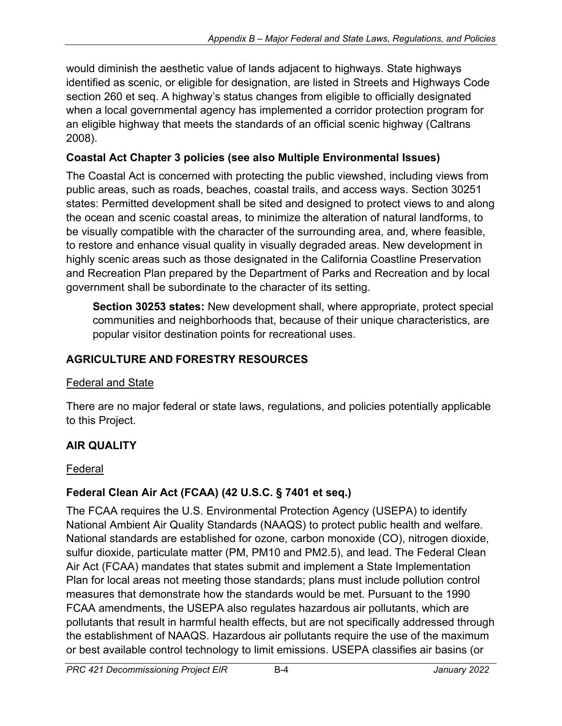would diminish the aesthetic value of lands adjacent to highways. State highways identified as scenic, or eligible for designation, are listed in Streets and Highways Code section 260 et seq. A highway's status changes from eligible to officially designated when a local governmental agency has implemented a corridor protection program for an eligible highway that meets the standards of an official scenic highway (Caltrans 2008).

## **Coastal Act Chapter 3 policies (see also Multiple Environmental Issues)**

The Coastal Act is concerned with protecting the public viewshed, including views from public areas, such as roads, beaches, coastal trails, and access ways. Section 30251 states: Permitted development shall be sited and designed to protect views to and along the ocean and scenic coastal areas, to minimize the alteration of natural landforms, to be visually compatible with the character of the surrounding area, and, where feasible, to restore and enhance visual quality in visually degraded areas. New development in highly scenic areas such as those designated in the California Coastline Preservation and Recreation Plan prepared by the Department of Parks and Recreation and by local government shall be subordinate to the character of its setting.

**Section 30253 states:** New development shall, where appropriate, protect special communities and neighborhoods that, because of their unique characteristics, are popular visitor destination points for recreational uses.

# **AGRICULTURE AND FORESTRY RESOURCES**

### Federal and State

There are no major federal or state laws, regulations, and policies potentially applicable to this Project.

## **AIR QUALITY**

### Federal

### **Federal Clean Air Act (FCAA) (42 U.S.C. § 7401 et seq.)**

The FCAA requires the U.S. Environmental Protection Agency (USEPA) to identify National Ambient Air Quality Standards (NAAQS) to protect public health and welfare. National standards are established for ozone, carbon monoxide (CO), nitrogen dioxide, sulfur dioxide, particulate matter (PM, PM10 and PM2.5), and lead. The Federal Clean Air Act (FCAA) mandates that states submit and implement a State Implementation Plan for local areas not meeting those standards; plans must include pollution control measures that demonstrate how the standards would be met. Pursuant to the 1990 FCAA amendments, the USEPA also regulates hazardous air pollutants, which are pollutants that result in harmful health effects, but are not specifically addressed through the establishment of NAAQS. Hazardous air pollutants require the use of the maximum or best available control technology to limit emissions. USEPA classifies air basins (or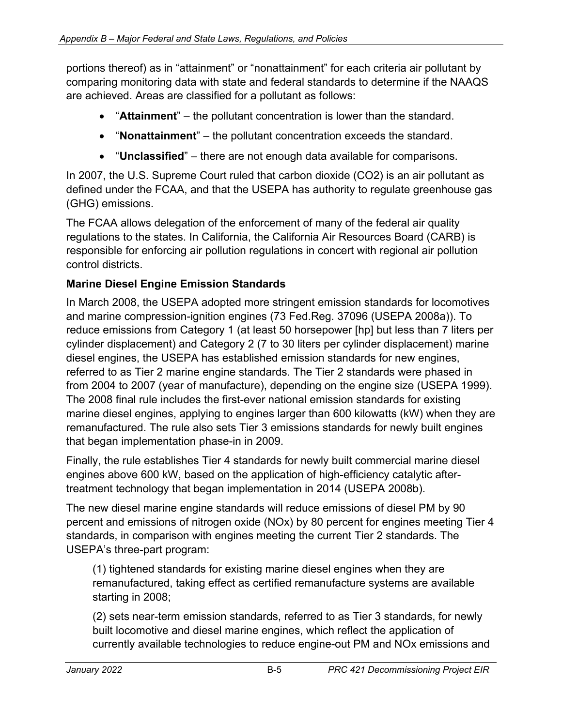portions thereof) as in "attainment" or "nonattainment" for each criteria air pollutant by comparing monitoring data with state and federal standards to determine if the NAAQS are achieved. Areas are classified for a pollutant as follows:

- "**Attainment**" the pollutant concentration is lower than the standard.
- "**Nonattainment**" the pollutant concentration exceeds the standard.
- "**Unclassified**" there are not enough data available for comparisons.

In 2007, the U.S. Supreme Court ruled that carbon dioxide (CO2) is an air pollutant as defined under the FCAA, and that the USEPA has authority to regulate greenhouse gas (GHG) emissions.

The FCAA allows delegation of the enforcement of many of the federal air quality regulations to the states. In California, the California Air Resources Board (CARB) is responsible for enforcing air pollution regulations in concert with regional air pollution control districts.

### **Marine Diesel Engine Emission Standards**

In March 2008, the USEPA adopted more stringent emission standards for locomotives and marine compression-ignition engines (73 Fed.Reg. 37096 (USEPA 2008a)). To reduce emissions from Category 1 (at least 50 horsepower [hp] but less than 7 liters per cylinder displacement) and Category 2 (7 to 30 liters per cylinder displacement) marine diesel engines, the USEPA has established emission standards for new engines, referred to as Tier 2 marine engine standards. The Tier 2 standards were phased in from 2004 to 2007 (year of manufacture), depending on the engine size (USEPA 1999). The 2008 final rule includes the first-ever national emission standards for existing marine diesel engines, applying to engines larger than 600 kilowatts (kW) when they are remanufactured. The rule also sets Tier 3 emissions standards for newly built engines that began implementation phase-in in 2009.

Finally, the rule establishes Tier 4 standards for newly built commercial marine diesel engines above 600 kW, based on the application of high-efficiency catalytic aftertreatment technology that began implementation in 2014 (USEPA 2008b).

The new diesel marine engine standards will reduce emissions of diesel PM by 90 percent and emissions of nitrogen oxide (NOx) by 80 percent for engines meeting Tier 4 standards, in comparison with engines meeting the current Tier 2 standards. The USEPA's three-part program:

(1) tightened standards for existing marine diesel engines when they are remanufactured, taking effect as certified remanufacture systems are available starting in 2008;

(2) sets near-term emission standards, referred to as Tier 3 standards, for newly built locomotive and diesel marine engines, which reflect the application of currently available technologies to reduce engine-out PM and NOx emissions and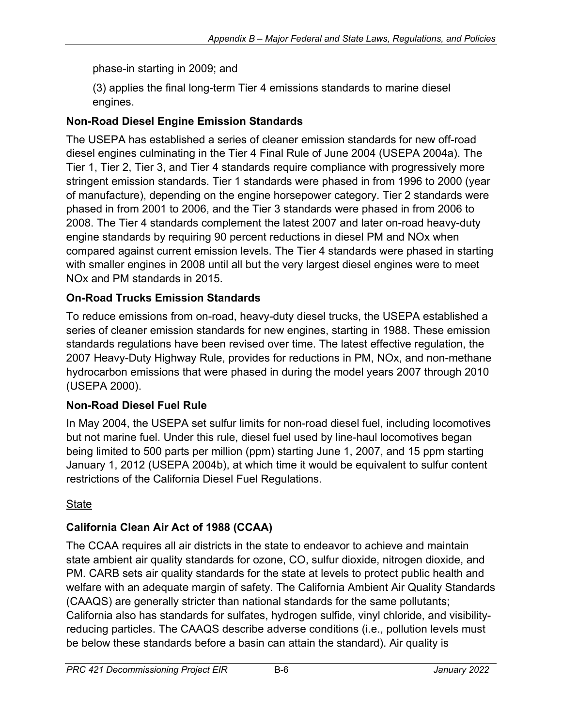phase-in starting in 2009; and

(3) applies the final long-term Tier 4 emissions standards to marine diesel engines.

## **Non-Road Diesel Engine Emission Standards**

The USEPA has established a series of cleaner emission standards for new off-road diesel engines culminating in the Tier 4 Final Rule of June 2004 (USEPA 2004a). The Tier 1, Tier 2, Tier 3, and Tier 4 standards require compliance with progressively more stringent emission standards. Tier 1 standards were phased in from 1996 to 2000 (year of manufacture), depending on the engine horsepower category. Tier 2 standards were phased in from 2001 to 2006, and the Tier 3 standards were phased in from 2006 to 2008. The Tier 4 standards complement the latest 2007 and later on-road heavy-duty engine standards by requiring 90 percent reductions in diesel PM and NOx when compared against current emission levels. The Tier 4 standards were phased in starting with smaller engines in 2008 until all but the very largest diesel engines were to meet NOx and PM standards in 2015.

# **On-Road Trucks Emission Standards**

To reduce emissions from on-road, heavy-duty diesel trucks, the USEPA established a series of cleaner emission standards for new engines, starting in 1988. These emission standards regulations have been revised over time. The latest effective regulation, the 2007 Heavy-Duty Highway Rule, provides for reductions in PM, NOx, and non-methane hydrocarbon emissions that were phased in during the model years 2007 through 2010 (USEPA 2000).

# **Non-Road Diesel Fuel Rule**

In May 2004, the USEPA set sulfur limits for non-road diesel fuel, including locomotives but not marine fuel. Under this rule, diesel fuel used by line-haul locomotives began being limited to 500 parts per million (ppm) starting June 1, 2007, and 15 ppm starting January 1, 2012 (USEPA 2004b), at which time it would be equivalent to sulfur content restrictions of the California Diesel Fuel Regulations.

# State

# **California Clean Air Act of 1988 (CCAA)**

The CCAA requires all air districts in the state to endeavor to achieve and maintain state ambient air quality standards for ozone, CO, sulfur dioxide, nitrogen dioxide, and PM. CARB sets air quality standards for the state at levels to protect public health and welfare with an adequate margin of safety. The California Ambient Air Quality Standards (CAAQS) are generally stricter than national standards for the same pollutants; California also has standards for sulfates, hydrogen sulfide, vinyl chloride, and visibilityreducing particles. The CAAQS describe adverse conditions (i.e., pollution levels must be below these standards before a basin can attain the standard). Air quality is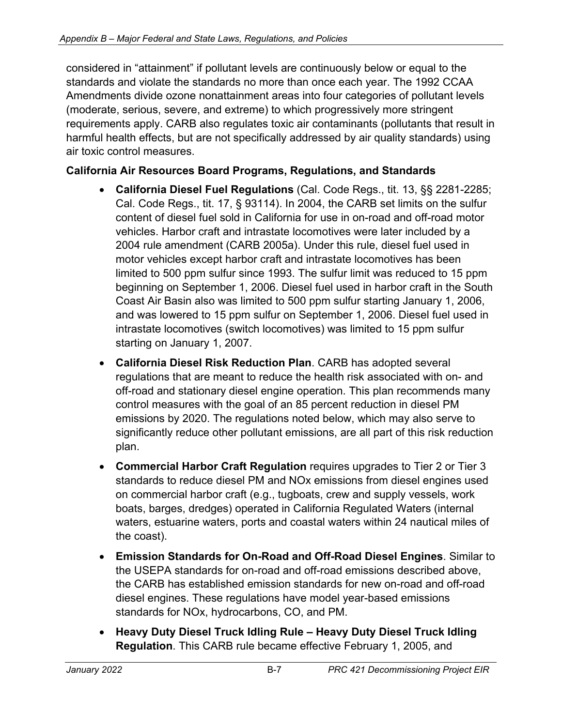considered in "attainment" if pollutant levels are continuously below or equal to the standards and violate the standards no more than once each year. The 1992 CCAA Amendments divide ozone nonattainment areas into four categories of pollutant levels (moderate, serious, severe, and extreme) to which progressively more stringent requirements apply. CARB also regulates toxic air contaminants (pollutants that result in harmful health effects, but are not specifically addressed by air quality standards) using air toxic control measures.

### **California Air Resources Board Programs, Regulations, and Standards**

- **California Diesel Fuel Regulations** (Cal. Code Regs., tit. 13, §§ 2281-2285; Cal. Code Regs., tit. 17, § 93114). In 2004, the CARB set limits on the sulfur content of diesel fuel sold in California for use in on-road and off-road motor vehicles. Harbor craft and intrastate locomotives were later included by a 2004 rule amendment (CARB 2005a). Under this rule, diesel fuel used in motor vehicles except harbor craft and intrastate locomotives has been limited to 500 ppm sulfur since 1993. The sulfur limit was reduced to 15 ppm beginning on September 1, 2006. Diesel fuel used in harbor craft in the South Coast Air Basin also was limited to 500 ppm sulfur starting January 1, 2006, and was lowered to 15 ppm sulfur on September 1, 2006. Diesel fuel used in intrastate locomotives (switch locomotives) was limited to 15 ppm sulfur starting on January 1, 2007.
- **California Diesel Risk Reduction Plan**. CARB has adopted several regulations that are meant to reduce the health risk associated with on- and off-road and stationary diesel engine operation. This plan recommends many control measures with the goal of an 85 percent reduction in diesel PM emissions by 2020. The regulations noted below, which may also serve to significantly reduce other pollutant emissions, are all part of this risk reduction plan.
- **Commercial Harbor Craft Regulation** requires upgrades to Tier 2 or Tier 3 standards to reduce diesel PM and NOx emissions from diesel engines used on commercial harbor craft (e.g., tugboats, crew and supply vessels, work boats, barges, dredges) operated in California Regulated Waters (internal waters, estuarine waters, ports and coastal waters within 24 nautical miles of the coast).
- **Emission Standards for On-Road and Off-Road Diesel Engines**. Similar to the USEPA standards for on-road and off-road emissions described above, the CARB has established emission standards for new on-road and off-road diesel engines. These regulations have model year-based emissions standards for NOx, hydrocarbons, CO, and PM.
- **Heavy Duty Diesel Truck Idling Rule – Heavy Duty Diesel Truck Idling Regulation**. This CARB rule became effective February 1, 2005, and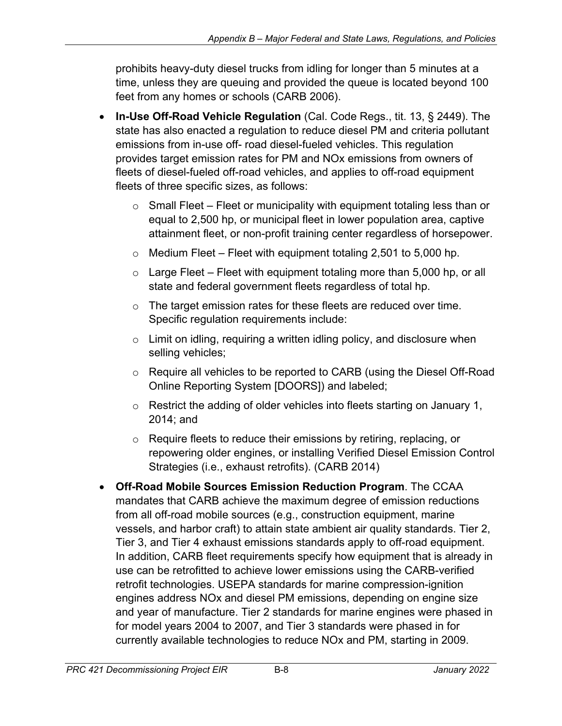prohibits heavy-duty diesel trucks from idling for longer than 5 minutes at a time, unless they are queuing and provided the queue is located beyond 100 feet from any homes or schools (CARB 2006).

- **In-Use Off-Road Vehicle Regulation** (Cal. Code Regs., tit. 13, § 2449). The state has also enacted a regulation to reduce diesel PM and criteria pollutant emissions from in-use off- road diesel-fueled vehicles. This regulation provides target emission rates for PM and NOx emissions from owners of fleets of diesel-fueled off-road vehicles, and applies to off-road equipment fleets of three specific sizes, as follows:
	- $\circ$  Small Fleet Fleet or municipality with equipment totaling less than or equal to 2,500 hp, or municipal fleet in lower population area, captive attainment fleet, or non-profit training center regardless of horsepower.
	- $\circ$  Medium Fleet Fleet with equipment totaling 2,501 to 5,000 hp.
	- $\circ$  Large Fleet Fleet with equipment totaling more than 5,000 hp, or all state and federal government fleets regardless of total hp.
	- $\circ$  The target emission rates for these fleets are reduced over time. Specific regulation requirements include:
	- $\circ$  Limit on idling, requiring a written idling policy, and disclosure when selling vehicles;
	- o Require all vehicles to be reported to CARB (using the Diesel Off-Road Online Reporting System [DOORS]) and labeled;
	- o Restrict the adding of older vehicles into fleets starting on January 1, 2014; and
	- o Require fleets to reduce their emissions by retiring, replacing, or repowering older engines, or installing Verified Diesel Emission Control Strategies (i.e., exhaust retrofits). (CARB 2014)
- **Off-Road Mobile Sources Emission Reduction Program**. The CCAA mandates that CARB achieve the maximum degree of emission reductions from all off-road mobile sources (e.g., construction equipment, marine vessels, and harbor craft) to attain state ambient air quality standards. Tier 2, Tier 3, and Tier 4 exhaust emissions standards apply to off-road equipment. In addition, CARB fleet requirements specify how equipment that is already in use can be retrofitted to achieve lower emissions using the CARB-verified retrofit technologies. USEPA standards for marine compression-ignition engines address NOx and diesel PM emissions, depending on engine size and year of manufacture. Tier 2 standards for marine engines were phased in for model years 2004 to 2007, and Tier 3 standards were phased in for currently available technologies to reduce NOx and PM, starting in 2009.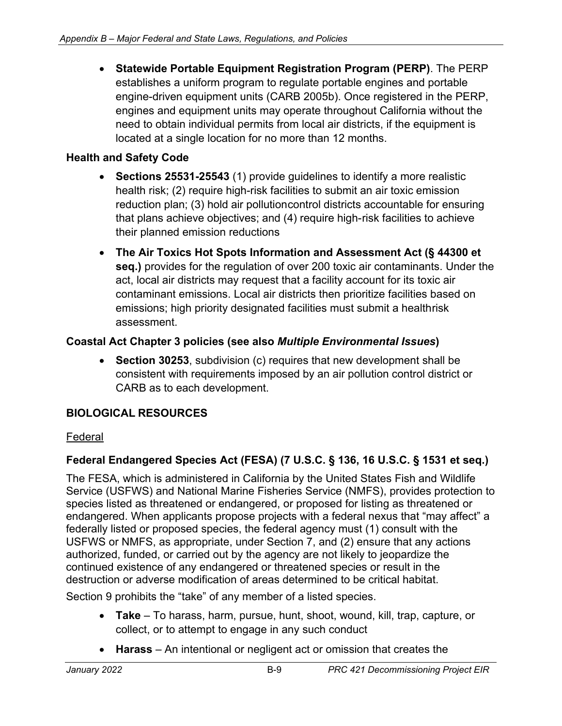• **Statewide Portable Equipment Registration Program (PERP)**. The PERP establishes a uniform program to regulate portable engines and portable engine-driven equipment units (CARB 2005b). Once registered in the PERP, engines and equipment units may operate throughout California without the need to obtain individual permits from local air districts, if the equipment is located at a single location for no more than 12 months.

## **Health and Safety Code**

- **Sections 25531-25543** (1) provide guidelines to identify a more realistic health risk; (2) require high-risk facilities to submit an air toxic emission reduction plan; (3) hold air pollutioncontrol districts accountable for ensuring that plans achieve objectives; and (4) require high-risk facilities to achieve their planned emission reductions
- **The Air Toxics Hot Spots Information and Assessment Act (§ 44300 et seq.)** provides for the regulation of over 200 toxic air contaminants. Under the act, local air districts may request that a facility account for its toxic air contaminant emissions. Local air districts then prioritize facilities based on emissions; high priority designated facilities must submit a healthrisk assessment.

### **Coastal Act Chapter 3 policies (see also** *Multiple Environmental Issues***)**

• **Section 30253**, subdivision (c) requires that new development shall be consistent with requirements imposed by an air pollution control district or CARB as to each development.

### **BIOLOGICAL RESOURCES**

### Federal

## **Federal Endangered Species Act (FESA) (7 U.S.C. § 136, 16 U.S.C. § 1531 et seq.)**

The FESA, which is administered in California by the United States Fish and Wildlife Service (USFWS) and National Marine Fisheries Service (NMFS), provides protection to species listed as threatened or endangered, or proposed for listing as threatened or endangered. When applicants propose projects with a federal nexus that "may affect" a federally listed or proposed species, the federal agency must (1) consult with the USFWS or NMFS, as appropriate, under Section 7, and (2) ensure that any actions authorized, funded, or carried out by the agency are not likely to jeopardize the continued existence of any endangered or threatened species or result in the destruction or adverse modification of areas determined to be critical habitat.

Section 9 prohibits the "take" of any member of a listed species.

- **Take** To harass, harm, pursue, hunt, shoot, wound, kill, trap, capture, or collect, or to attempt to engage in any such conduct
- **Harass** An intentional or negligent act or omission that creates the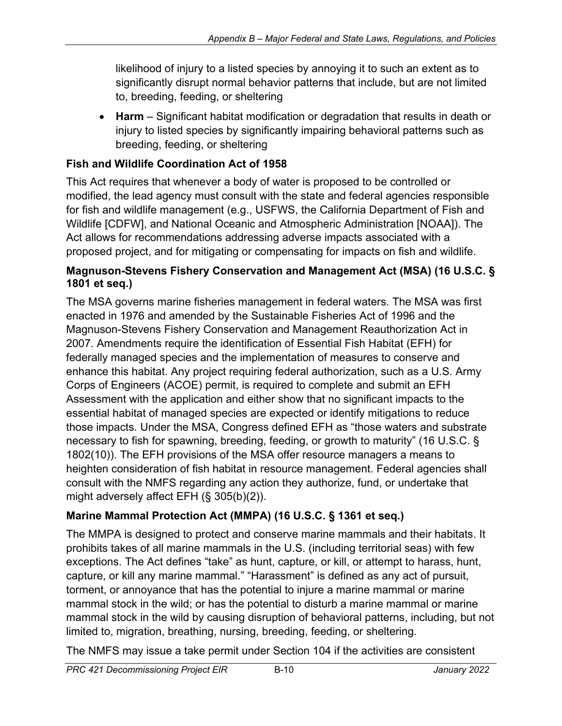likelihood of injury to a listed species by annoying it to such an extent as to significantly disrupt normal behavior patterns that include, but are not limited to, breeding, feeding, or sheltering

• **Harm** – Significant habitat modification or degradation that results in death or injury to listed species by significantly impairing behavioral patterns such as breeding, feeding, or sheltering

### **Fish and Wildlife Coordination Act of 1958**

This Act requires that whenever a body of water is proposed to be controlled or modified, the lead agency must consult with the state and federal agencies responsible for fish and wildlife management (e.g., USFWS, the California Department of Fish and Wildlife [CDFW], and National Oceanic and Atmospheric Administration [NOAA]). The Act allows for recommendations addressing adverse impacts associated with a proposed project, and for mitigating or compensating for impacts on fish and wildlife.

### **Magnuson-Stevens Fishery Conservation and Management Act (MSA) (16 U.S.C. § 1801 et seq.)**

The MSA governs marine fisheries management in federal waters. The MSA was first enacted in 1976 and amended by the Sustainable Fisheries Act of 1996 and the Magnuson-Stevens Fishery Conservation and Management Reauthorization Act in 2007. Amendments require the identification of Essential Fish Habitat (EFH) for federally managed species and the implementation of measures to conserve and enhance this habitat. Any project requiring federal authorization, such as a U.S. Army Corps of Engineers (ACOE) permit, is required to complete and submit an EFH Assessment with the application and either show that no significant impacts to the essential habitat of managed species are expected or identify mitigations to reduce those impacts. Under the MSA, Congress defined EFH as "those waters and substrate necessary to fish for spawning, breeding, feeding, or growth to maturity" (16 U.S.C. § 1802(10)). The EFH provisions of the MSA offer resource managers a means to heighten consideration of fish habitat in resource management. Federal agencies shall consult with the NMFS regarding any action they authorize, fund, or undertake that might adversely affect EFH (§ 305(b)(2)).

## **Marine Mammal Protection Act (MMPA) (16 U.S.C. § 1361 et seq.)**

The MMPA is designed to protect and conserve marine mammals and their habitats. It prohibits takes of all marine mammals in the U.S. (including territorial seas) with few exceptions. The Act defines "take" as hunt, capture, or kill, or attempt to harass, hunt, capture, or kill any marine mammal." "Harassment" is defined as any act of pursuit, torment, or annoyance that has the potential to injure a marine mammal or marine mammal stock in the wild; or has the potential to disturb a marine mammal or marine mammal stock in the wild by causing disruption of behavioral patterns, including, but not limited to, migration, breathing, nursing, breeding, feeding, or sheltering.

The NMFS may issue a take permit under Section 104 if the activities are consistent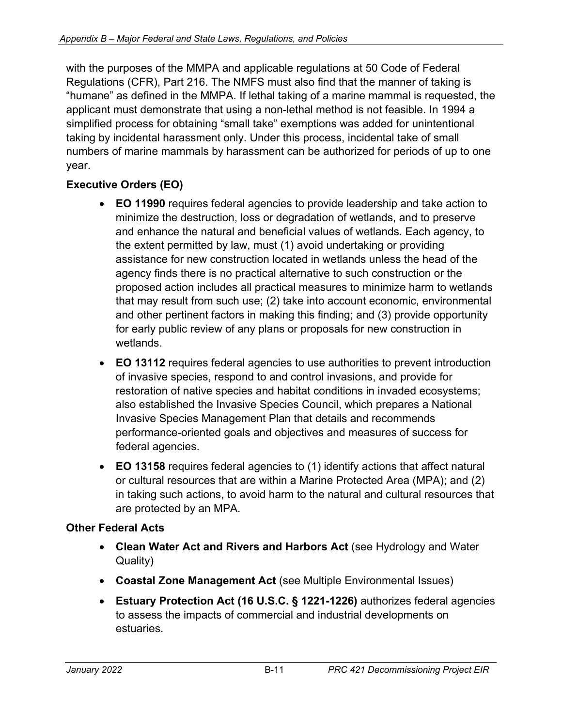with the purposes of the MMPA and applicable regulations at 50 Code of Federal Regulations (CFR), Part 216. The NMFS must also find that the manner of taking is "humane" as defined in the MMPA. If lethal taking of a marine mammal is requested, the applicant must demonstrate that using a non-lethal method is not feasible. In 1994 a simplified process for obtaining "small take" exemptions was added for unintentional taking by incidental harassment only. Under this process, incidental take of small numbers of marine mammals by harassment can be authorized for periods of up to one year.

## **Executive Orders (EO)**

- **EO 11990** requires federal agencies to provide leadership and take action to minimize the destruction, loss or degradation of wetlands, and to preserve and enhance the natural and beneficial values of wetlands. Each agency, to the extent permitted by law, must (1) avoid undertaking or providing assistance for new construction located in wetlands unless the head of the agency finds there is no practical alternative to such construction or the proposed action includes all practical measures to minimize harm to wetlands that may result from such use; (2) take into account economic, environmental and other pertinent factors in making this finding; and (3) provide opportunity for early public review of any plans or proposals for new construction in wetlands.
- **EO 13112** requires federal agencies to use authorities to prevent introduction of invasive species, respond to and control invasions, and provide for restoration of native species and habitat conditions in invaded ecosystems; also established the Invasive Species Council, which prepares a National Invasive Species Management Plan that details and recommends performance-oriented goals and objectives and measures of success for federal agencies.
- **EO 13158** requires federal agencies to (1) identify actions that affect natural or cultural resources that are within a Marine Protected Area (MPA); and (2) in taking such actions, to avoid harm to the natural and cultural resources that are protected by an MPA.

### **Other Federal Acts**

- **Clean Water Act and Rivers and Harbors Act** (see Hydrology and Water Quality)
- **Coastal Zone Management Act** (see Multiple Environmental Issues)
- **Estuary Protection Act (16 U.S.C. § 1221-1226)** authorizes federal agencies to assess the impacts of commercial and industrial developments on estuaries.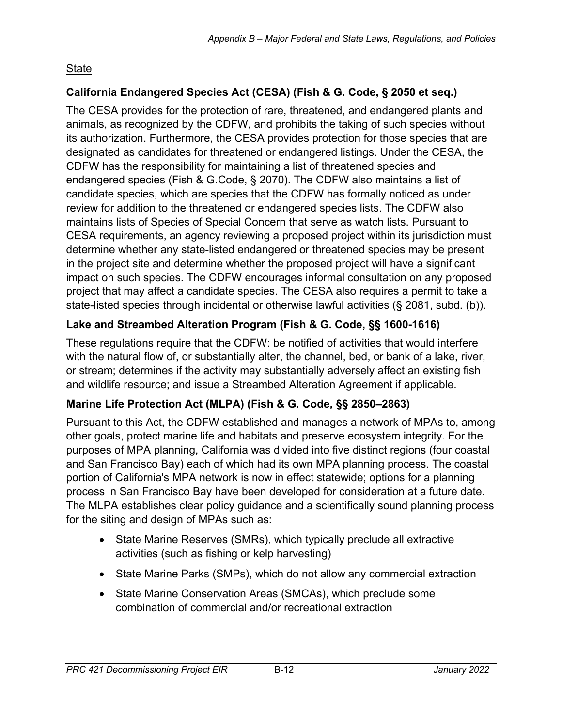## **State**

## **California Endangered Species Act (CESA) (Fish & G. Code, § 2050 et seq.)**

The CESA provides for the protection of rare, threatened, and endangered plants and animals, as recognized by the CDFW, and prohibits the taking of such species without its authorization. Furthermore, the CESA provides protection for those species that are designated as candidates for threatened or endangered listings. Under the CESA, the CDFW has the responsibility for maintaining a list of threatened species and endangered species (Fish & G.Code, § 2070). The CDFW also maintains a list of candidate species, which are species that the CDFW has formally noticed as under review for addition to the threatened or endangered species lists. The CDFW also maintains lists of Species of Special Concern that serve as watch lists. Pursuant to CESA requirements, an agency reviewing a proposed project within its jurisdiction must determine whether any state-listed endangered or threatened species may be present in the project site and determine whether the proposed project will have a significant impact on such species. The CDFW encourages informal consultation on any proposed project that may affect a candidate species. The CESA also requires a permit to take a state-listed species through incidental or otherwise lawful activities (§ 2081, subd. (b)).

## **Lake and Streambed Alteration Program (Fish & G. Code, §§ 1600-1616)**

These regulations require that the CDFW: be notified of activities that would interfere with the natural flow of, or substantially alter, the channel, bed, or bank of a lake, river, or stream; determines if the activity may substantially adversely affect an existing fish and wildlife resource; and issue a Streambed Alteration Agreement if applicable.

### **Marine Life Protection Act (MLPA) (Fish & G. Code, §§ 2850–2863)**

Pursuant to this Act, the CDFW established and manages a network of MPAs to, among other goals, protect marine life and habitats and preserve ecosystem integrity. For the purposes of MPA planning, California was divided into five distinct regions (four coastal and San Francisco Bay) each of which had its own MPA planning process. The coastal portion of California's MPA network is now in effect statewide; options for a planning process in San Francisco Bay have been developed for consideration at a future date. The MLPA establishes clear policy guidance and a scientifically sound planning process for the siting and design of MPAs such as:

- State Marine Reserves (SMRs), which typically preclude all extractive activities (such as fishing or kelp harvesting)
- State Marine Parks (SMPs), which do not allow any commercial extraction
- State Marine Conservation Areas (SMCAs), which preclude some combination of commercial and/or recreational extraction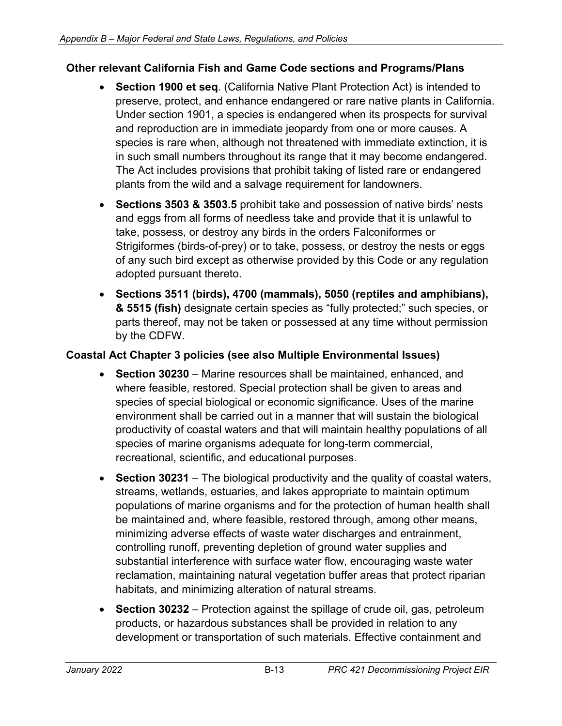#### **Other relevant California Fish and Game Code sections and Programs/Plans**

- **Section 1900 et seq**. (California Native Plant Protection Act) is intended to preserve, protect, and enhance endangered or rare native plants in California. Under section 1901, a species is endangered when its prospects for survival and reproduction are in immediate jeopardy from one or more causes. A species is rare when, although not threatened with immediate extinction, it is in such small numbers throughout its range that it may become endangered. The Act includes provisions that prohibit taking of listed rare or endangered plants from the wild and a salvage requirement for landowners.
- **Sections 3503 & 3503.5** prohibit take and possession of native birds' nests and eggs from all forms of needless take and provide that it is unlawful to take, possess, or destroy any birds in the orders Falconiformes or Strigiformes (birds-of-prey) or to take, possess, or destroy the nests or eggs of any such bird except as otherwise provided by this Code or any regulation adopted pursuant thereto.
- **Sections 3511 (birds), 4700 (mammals), 5050 (reptiles and amphibians), & 5515 (fish)** designate certain species as "fully protected;" such species, or parts thereof, may not be taken or possessed at any time without permission by the CDFW.

#### **Coastal Act Chapter 3 policies (see also Multiple Environmental Issues)**

- **Section 30230** Marine resources shall be maintained, enhanced, and where feasible, restored. Special protection shall be given to areas and species of special biological or economic significance. Uses of the marine environment shall be carried out in a manner that will sustain the biological productivity of coastal waters and that will maintain healthy populations of all species of marine organisms adequate for long-term commercial, recreational, scientific, and educational purposes.
- **Section 30231** The biological productivity and the quality of coastal waters, streams, wetlands, estuaries, and lakes appropriate to maintain optimum populations of marine organisms and for the protection of human health shall be maintained and, where feasible, restored through, among other means, minimizing adverse effects of waste water discharges and entrainment, controlling runoff, preventing depletion of ground water supplies and substantial interference with surface water flow, encouraging waste water reclamation, maintaining natural vegetation buffer areas that protect riparian habitats, and minimizing alteration of natural streams.
- **Section 30232** Protection against the spillage of crude oil, gas, petroleum products, or hazardous substances shall be provided in relation to any development or transportation of such materials. Effective containment and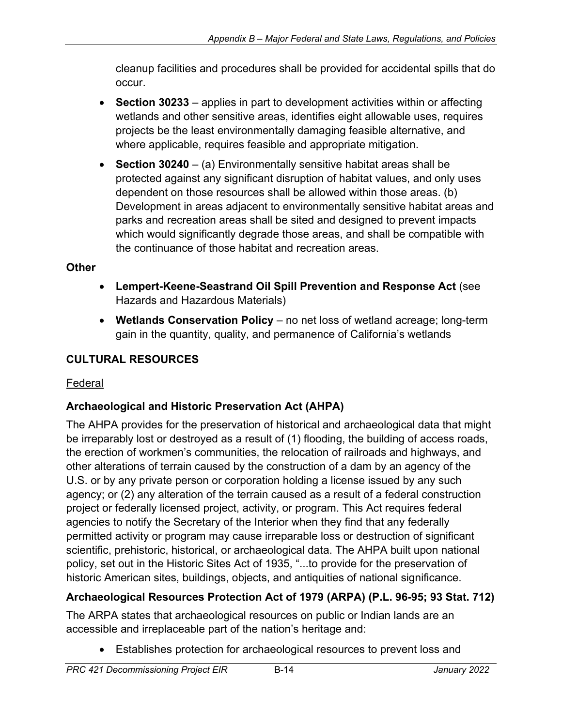cleanup facilities and procedures shall be provided for accidental spills that do occur.

- **Section 30233** applies in part to development activities within or affecting wetlands and other sensitive areas, identifies eight allowable uses, requires projects be the least environmentally damaging feasible alternative, and where applicable, requires feasible and appropriate mitigation.
- **Section 30240** (a) Environmentally sensitive habitat areas shall be protected against any significant disruption of habitat values, and only uses dependent on those resources shall be allowed within those areas. (b) Development in areas adjacent to environmentally sensitive habitat areas and parks and recreation areas shall be sited and designed to prevent impacts which would significantly degrade those areas, and shall be compatible with the continuance of those habitat and recreation areas.

### **Other**

- **Lempert-Keene-Seastrand Oil Spill Prevention and Response Act** (see Hazards and Hazardous Materials)
- **Wetlands Conservation Policy** no net loss of wetland acreage; long-term gain in the quantity, quality, and permanence of California's wetlands

## **CULTURAL RESOURCES**

### Federal

### **Archaeological and Historic Preservation Act (AHPA)**

The AHPA provides for the preservation of historical and archaeological data that might be irreparably lost or destroyed as a result of (1) flooding, the building of access roads, the erection of workmen's communities, the relocation of railroads and highways, and other alterations of terrain caused by the construction of a dam by an agency of the U.S. or by any private person or corporation holding a license issued by any such agency; or (2) any alteration of the terrain caused as a result of a federal construction project or federally licensed project, activity, or program. This Act requires federal agencies to notify the Secretary of the Interior when they find that any federally permitted activity or program may cause irreparable loss or destruction of significant scientific, prehistoric, historical, or archaeological data. The AHPA built upon national policy, set out in the Historic Sites Act of 1935, "...to provide for the preservation of historic American sites, buildings, objects, and antiquities of national significance.

## **Archaeological Resources Protection Act of 1979 (ARPA) (P.L. 96-95; 93 Stat. 712)**

The ARPA states that archaeological resources on public or Indian lands are an accessible and irreplaceable part of the nation's heritage and:

• Establishes protection for archaeological resources to prevent loss and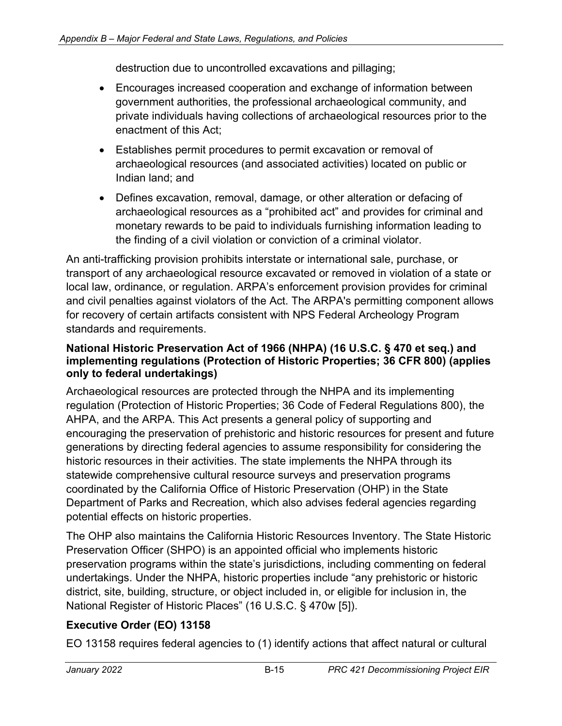destruction due to uncontrolled excavations and pillaging;

- Encourages increased cooperation and exchange of information between government authorities, the professional archaeological community, and private individuals having collections of archaeological resources prior to the enactment of this Act;
- Establishes permit procedures to permit excavation or removal of archaeological resources (and associated activities) located on public or Indian land; and
- Defines excavation, removal, damage, or other alteration or defacing of archaeological resources as a "prohibited act" and provides for criminal and monetary rewards to be paid to individuals furnishing information leading to the finding of a civil violation or conviction of a criminal violator.

An anti-trafficking provision prohibits interstate or international sale, purchase, or transport of any archaeological resource excavated or removed in violation of a state or local law, ordinance, or regulation. ARPA's enforcement provision provides for criminal and civil penalties against violators of the Act. The ARPA's permitting component allows for recovery of certain artifacts consistent with NPS Federal Archeology Program standards and requirements.

#### **National Historic Preservation Act of 1966 (NHPA) (16 U.S.C. § 470 et seq.) and implementing regulations (Protection of Historic Properties; 36 CFR 800) (applies only to federal undertakings)**

Archaeological resources are protected through the NHPA and its implementing regulation (Protection of Historic Properties; 36 Code of Federal Regulations 800), the AHPA, and the ARPA. This Act presents a general policy of supporting and encouraging the preservation of prehistoric and historic resources for present and future generations by directing federal agencies to assume responsibility for considering the historic resources in their activities. The state implements the NHPA through its statewide comprehensive cultural resource surveys and preservation programs coordinated by the California Office of Historic Preservation (OHP) in the State Department of Parks and Recreation, which also advises federal agencies regarding potential effects on historic properties.

The OHP also maintains the California Historic Resources Inventory. The State Historic Preservation Officer (SHPO) is an appointed official who implements historic preservation programs within the state's jurisdictions, including commenting on federal undertakings. Under the NHPA, historic properties include "any prehistoric or historic district, site, building, structure, or object included in, or eligible for inclusion in, the National Register of Historic Places" (16 U.S.C. § 470w [5]).

## **Executive Order (EO) 13158**

EO 13158 requires federal agencies to (1) identify actions that affect natural or cultural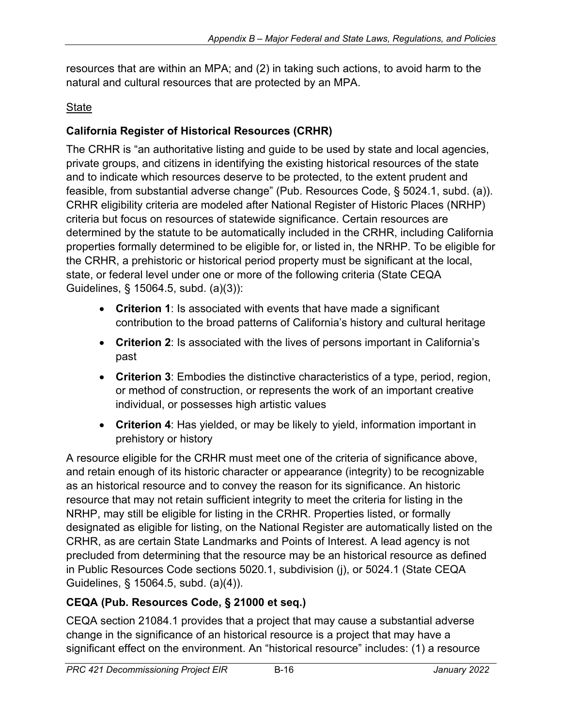resources that are within an MPA; and (2) in taking such actions, to avoid harm to the natural and cultural resources that are protected by an MPA.

### **State**

## **California Register of Historical Resources (CRHR)**

The CRHR is "an authoritative listing and guide to be used by state and local agencies, private groups, and citizens in identifying the existing historical resources of the state and to indicate which resources deserve to be protected, to the extent prudent and feasible, from substantial adverse change" (Pub. Resources Code, § 5024.1, subd. (a)). CRHR eligibility criteria are modeled after National Register of Historic Places (NRHP) criteria but focus on resources of statewide significance. Certain resources are determined by the statute to be automatically included in the CRHR, including California properties formally determined to be eligible for, or listed in, the NRHP. To be eligible for the CRHR, a prehistoric or historical period property must be significant at the local, state, or federal level under one or more of the following criteria (State CEQA Guidelines, § 15064.5, subd. (a)(3)):

- **Criterion 1**: Is associated with events that have made a significant contribution to the broad patterns of California's history and cultural heritage
- **Criterion 2**: Is associated with the lives of persons important in California's past
- **Criterion 3**: Embodies the distinctive characteristics of a type, period, region, or method of construction, or represents the work of an important creative individual, or possesses high artistic values
- **Criterion 4**: Has yielded, or may be likely to yield, information important in prehistory or history

A resource eligible for the CRHR must meet one of the criteria of significance above, and retain enough of its historic character or appearance (integrity) to be recognizable as an historical resource and to convey the reason for its significance. An historic resource that may not retain sufficient integrity to meet the criteria for listing in the NRHP, may still be eligible for listing in the CRHR. Properties listed, or formally designated as eligible for listing, on the National Register are automatically listed on the CRHR, as are certain State Landmarks and Points of Interest. A lead agency is not precluded from determining that the resource may be an historical resource as defined in Public Resources Code sections 5020.1, subdivision (j), or 5024.1 (State CEQA Guidelines, § 15064.5, subd. (a)(4)).

## **CEQA (Pub. Resources Code, § 21000 et seq.)**

CEQA section 21084.1 provides that a project that may cause a substantial adverse change in the significance of an historical resource is a project that may have a significant effect on the environment. An "historical resource" includes: (1) a resource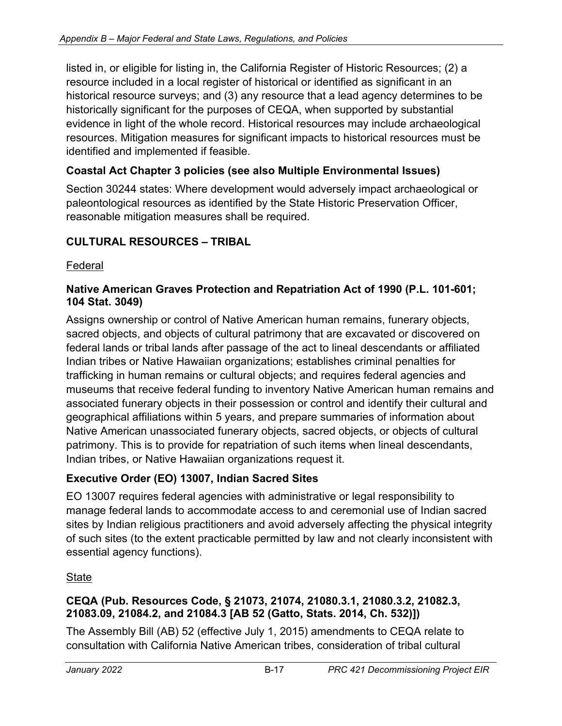listed in, or eligible for listing in, the California Register of Historic Resources; (2) a resource included in a local register of historical or identified as significant in an historical resource surveys; and (3) any resource that a lead agency determines to be historically significant for the purposes of CEQA, when supported by substantial evidence in light of the whole record. Historical resources may include archaeological resources. Mitigation measures for significant impacts to historical resources must be identified and implemented if feasible.

### **Coastal Act Chapter 3 policies (see also Multiple Environmental Issues)**

Section 30244 states: Where development would adversely impact archaeological or paleontological resources as identified by the State Historic Preservation Officer, reasonable mitigation measures shall be required.

### **CULTURAL RESOURCES – TRIBAL**

#### Federal

#### **Native American Graves Protection and Repatriation Act of 1990 (P.L. 101-601; 104 Stat. 3049)**

Assigns ownership or control of Native American human remains, funerary objects, sacred objects, and objects of cultural patrimony that are excavated or discovered on federal lands or tribal lands after passage of the act to lineal descendants or affiliated Indian tribes or Native Hawaiian organizations; establishes criminal penalties for trafficking in human remains or cultural objects; and requires federal agencies and museums that receive federal funding to inventory Native American human remains and associated funerary objects in their possession or control and identify their cultural and geographical affiliations within 5 years, and prepare summaries of information about Native American unassociated funerary objects, sacred objects, or objects of cultural patrimony. This is to provide for repatriation of such items when lineal descendants, Indian tribes, or Native Hawaiian organizations request it.

#### **Executive Order (EO) 13007, Indian Sacred Sites**

EO 13007 requires federal agencies with administrative or legal responsibility to manage federal lands to accommodate access to and ceremonial use of Indian sacred sites by Indian religious practitioners and avoid adversely affecting the physical integrity of such sites (to the extent practicable permitted by law and not clearly inconsistent with essential agency functions).

#### State

#### **CEQA (Pub. Resources Code, § 21073, 21074, 21080.3.1, 21080.3.2, 21082.3, 21083.09, 21084.2, and 21084.3 [AB 52 (Gatto, Stats. 2014, Ch. 532)])**

The Assembly Bill (AB) 52 (effective July 1, 2015) amendments to CEQA relate to consultation with California Native American tribes, consideration of tribal cultural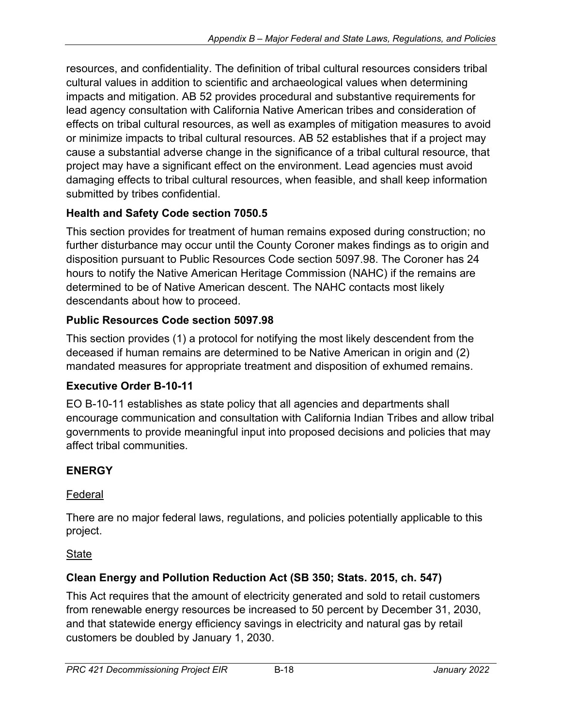resources, and confidentiality. The definition of tribal cultural resources considers tribal cultural values in addition to scientific and archaeological values when determining impacts and mitigation. AB 52 provides procedural and substantive requirements for lead agency consultation with California Native American tribes and consideration of effects on tribal cultural resources, as well as examples of mitigation measures to avoid or minimize impacts to tribal cultural resources. AB 52 establishes that if a project may cause a substantial adverse change in the significance of a tribal cultural resource, that project may have a significant effect on the environment. Lead agencies must avoid damaging effects to tribal cultural resources, when feasible, and shall keep information submitted by tribes confidential.

## **Health and Safety Code section 7050.5**

This section provides for treatment of human remains exposed during construction; no further disturbance may occur until the County Coroner makes findings as to origin and disposition pursuant to Public Resources Code section 5097.98. The Coroner has 24 hours to notify the Native American Heritage Commission (NAHC) if the remains are determined to be of Native American descent. The NAHC contacts most likely descendants about how to proceed.

## **Public Resources Code section 5097.98**

This section provides (1) a protocol for notifying the most likely descendent from the deceased if human remains are determined to be Native American in origin and (2) mandated measures for appropriate treatment and disposition of exhumed remains.

## **Executive Order B-10-11**

EO B-10-11 establishes as state policy that all agencies and departments shall encourage communication and consultation with California Indian Tribes and allow tribal governments to provide meaningful input into proposed decisions and policies that may affect tribal communities.

## **ENERGY**

### Federal

There are no major federal laws, regulations, and policies potentially applicable to this project.

### **State**

## **Clean Energy and Pollution Reduction Act (SB 350; Stats. 2015, ch. 547)**

This Act requires that the amount of electricity generated and sold to retail customers from renewable energy resources be increased to 50 percent by December 31, 2030, and that statewide energy efficiency savings in electricity and natural gas by retail customers be doubled by January 1, 2030.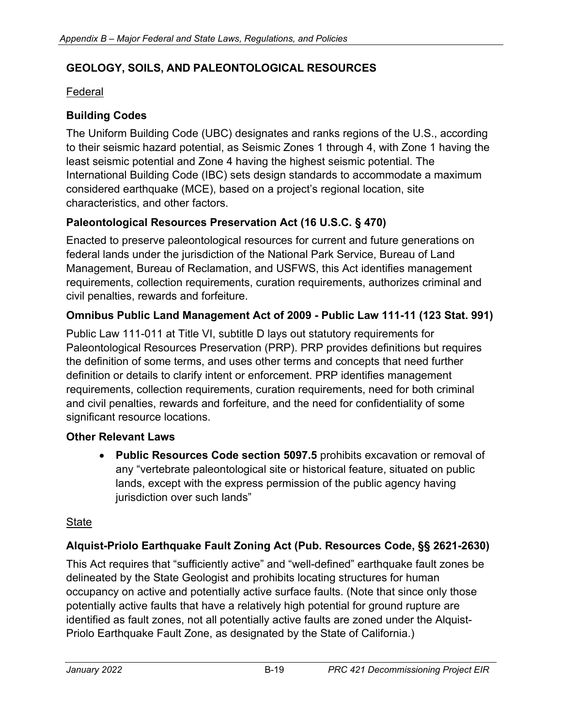### **GEOLOGY, SOILS, AND PALEONTOLOGICAL RESOURCES**

#### Federal

### **Building Codes**

The Uniform Building Code (UBC) designates and ranks regions of the U.S., according to their seismic hazard potential, as Seismic Zones 1 through 4, with Zone 1 having the least seismic potential and Zone 4 having the highest seismic potential. The International Building Code (IBC) sets design standards to accommodate a maximum considered earthquake (MCE), based on a project's regional location, site characteristics, and other factors.

### **Paleontological Resources Preservation Act (16 U.S.C. § 470)**

Enacted to preserve paleontological resources for current and future generations on federal lands under the jurisdiction of the National Park Service, Bureau of Land Management, Bureau of Reclamation, and USFWS, this Act identifies management requirements, collection requirements, curation requirements, authorizes criminal and civil penalties, rewards and forfeiture.

### **Omnibus Public Land Management Act of 2009 - Public Law 111-11 (123 Stat. 991)**

Public Law 111-011 at Title VI, subtitle D lays out statutory requirements for Paleontological Resources Preservation (PRP). PRP provides definitions but requires the definition of some terms, and uses other terms and concepts that need further definition or details to clarify intent or enforcement. PRP identifies management requirements, collection requirements, curation requirements, need for both criminal and civil penalties, rewards and forfeiture, and the need for confidentiality of some significant resource locations.

#### **Other Relevant Laws**

• **Public Resources Code section 5097.5** prohibits excavation or removal of any "vertebrate paleontological site or historical feature, situated on public lands, except with the express permission of the public agency having jurisdiction over such lands"

#### **State**

### **Alquist-Priolo Earthquake Fault Zoning Act (Pub. Resources Code, §§ 2621-2630)**

This Act requires that "sufficiently active" and "well-defined" earthquake fault zones be delineated by the State Geologist and prohibits locating structures for human occupancy on active and potentially active surface faults. (Note that since only those potentially active faults that have a relatively high potential for ground rupture are identified as fault zones, not all potentially active faults are zoned under the Alquist-Priolo Earthquake Fault Zone, as designated by the State of California.)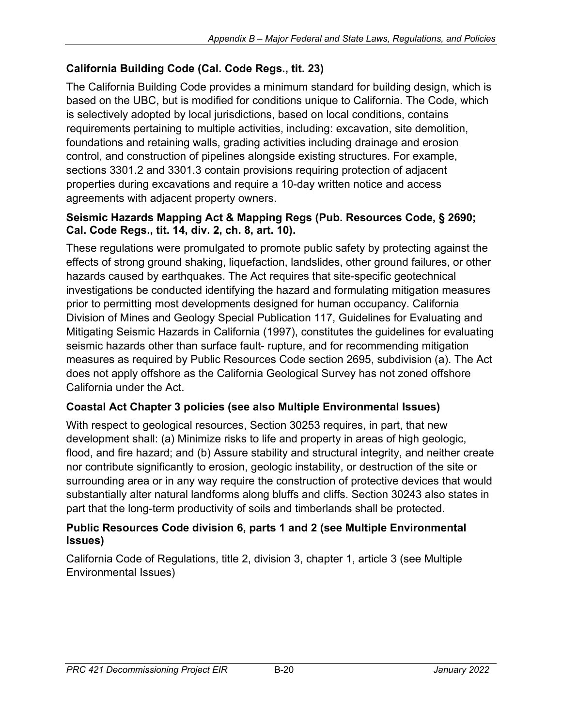## **California Building Code (Cal. Code Regs., tit. 23)**

The California Building Code provides a minimum standard for building design, which is based on the UBC, but is modified for conditions unique to California. The Code, which is selectively adopted by local jurisdictions, based on local conditions, contains requirements pertaining to multiple activities, including: excavation, site demolition, foundations and retaining walls, grading activities including drainage and erosion control, and construction of pipelines alongside existing structures. For example, sections 3301.2 and 3301.3 contain provisions requiring protection of adjacent properties during excavations and require a 10-day written notice and access agreements with adjacent property owners.

#### **Seismic Hazards Mapping Act & Mapping Regs (Pub. Resources Code, § 2690; Cal. Code Regs., tit. 14, div. 2, ch. 8, art. 10).**

These regulations were promulgated to promote public safety by protecting against the effects of strong ground shaking, liquefaction, landslides, other ground failures, or other hazards caused by earthquakes. The Act requires that site-specific geotechnical investigations be conducted identifying the hazard and formulating mitigation measures prior to permitting most developments designed for human occupancy. California Division of Mines and Geology Special Publication 117, Guidelines for Evaluating and Mitigating Seismic Hazards in California (1997), constitutes the guidelines for evaluating seismic hazards other than surface fault- rupture, and for recommending mitigation measures as required by Public Resources Code section 2695, subdivision (a). The Act does not apply offshore as the California Geological Survey has not zoned offshore California under the Act.

### **Coastal Act Chapter 3 policies (see also Multiple Environmental Issues)**

With respect to geological resources, Section 30253 requires, in part, that new development shall: (a) Minimize risks to life and property in areas of high geologic, flood, and fire hazard; and (b) Assure stability and structural integrity, and neither create nor contribute significantly to erosion, geologic instability, or destruction of the site or surrounding area or in any way require the construction of protective devices that would substantially alter natural landforms along bluffs and cliffs. Section 30243 also states in part that the long-term productivity of soils and timberlands shall be protected.

### **Public Resources Code division 6, parts 1 and 2 (see Multiple Environmental Issues)**

California Code of Regulations, title 2, division 3, chapter 1, article 3 (see Multiple Environmental Issues)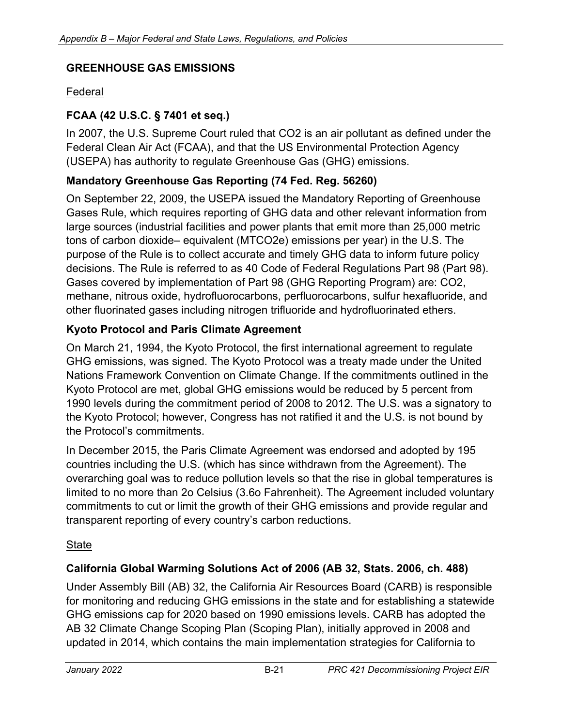### **GREENHOUSE GAS EMISSIONS**

#### Federal

### **FCAA (42 U.S.C. § 7401 et seq.)**

In 2007, the U.S. Supreme Court ruled that CO2 is an air pollutant as defined under the Federal Clean Air Act (FCAA), and that the US Environmental Protection Agency (USEPA) has authority to regulate Greenhouse Gas (GHG) emissions.

### **Mandatory Greenhouse Gas Reporting (74 Fed. Reg. 56260)**

On September 22, 2009, the USEPA issued the Mandatory Reporting of Greenhouse Gases Rule, which requires reporting of GHG data and other relevant information from large sources (industrial facilities and power plants that emit more than 25,000 metric tons of carbon dioxide– equivalent (MTCO2e) emissions per year) in the U.S. The purpose of the Rule is to collect accurate and timely GHG data to inform future policy decisions. The Rule is referred to as 40 Code of Federal Regulations Part 98 (Part 98). Gases covered by implementation of Part 98 (GHG Reporting Program) are: CO2, methane, nitrous oxide, hydrofluorocarbons, perfluorocarbons, sulfur hexafluoride, and other fluorinated gases including nitrogen trifluoride and hydrofluorinated ethers.

#### **Kyoto Protocol and Paris Climate Agreement**

On March 21, 1994, the Kyoto Protocol, the first international agreement to regulate GHG emissions, was signed. The Kyoto Protocol was a treaty made under the United Nations Framework Convention on Climate Change. If the commitments outlined in the Kyoto Protocol are met, global GHG emissions would be reduced by 5 percent from 1990 levels during the commitment period of 2008 to 2012. The U.S. was a signatory to the Kyoto Protocol; however, Congress has not ratified it and the U.S. is not bound by the Protocol's commitments.

In December 2015, the Paris Climate Agreement was endorsed and adopted by 195 countries including the U.S. (which has since withdrawn from the Agreement). The overarching goal was to reduce pollution levels so that the rise in global temperatures is limited to no more than 2o Celsius (3.6o Fahrenheit). The Agreement included voluntary commitments to cut or limit the growth of their GHG emissions and provide regular and transparent reporting of every country's carbon reductions.

#### **State**

#### **California Global Warming Solutions Act of 2006 (AB 32, Stats. 2006, ch. 488)**

Under Assembly Bill (AB) 32, the California Air Resources Board (CARB) is responsible for monitoring and reducing GHG emissions in the state and for establishing a statewide GHG emissions cap for 2020 based on 1990 emissions levels. CARB has adopted the AB 32 Climate Change Scoping Plan (Scoping Plan), initially approved in 2008 and updated in 2014, which contains the main implementation strategies for California to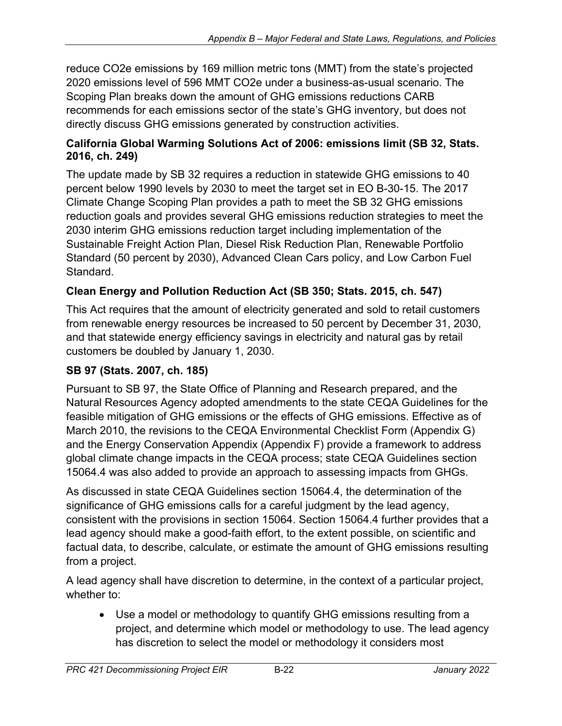reduce CO2e emissions by 169 million metric tons (MMT) from the state's projected 2020 emissions level of 596 MMT CO2e under a business-as-usual scenario. The Scoping Plan breaks down the amount of GHG emissions reductions CARB recommends for each emissions sector of the state's GHG inventory, but does not directly discuss GHG emissions generated by construction activities.

#### **California Global Warming Solutions Act of 2006: emissions limit (SB 32, Stats. 2016, ch. 249)**

The update made by SB 32 requires a reduction in statewide GHG emissions to 40 percent below 1990 levels by 2030 to meet the target set in EO B-30-15. The 2017 Climate Change Scoping Plan provides a path to meet the SB 32 GHG emissions reduction goals and provides several GHG emissions reduction strategies to meet the 2030 interim GHG emissions reduction target including implementation of the Sustainable Freight Action Plan, Diesel Risk Reduction Plan, Renewable Portfolio Standard (50 percent by 2030), Advanced Clean Cars policy, and Low Carbon Fuel Standard.

## **Clean Energy and Pollution Reduction Act (SB 350; Stats. 2015, ch. 547)**

This Act requires that the amount of electricity generated and sold to retail customers from renewable energy resources be increased to 50 percent by December 31, 2030, and that statewide energy efficiency savings in electricity and natural gas by retail customers be doubled by January 1, 2030.

### **SB 97 (Stats. 2007, ch. 185)**

Pursuant to SB 97, the State Office of Planning and Research prepared, and the Natural Resources Agency adopted amendments to the state CEQA Guidelines for the feasible mitigation of GHG emissions or the effects of GHG emissions. Effective as of March 2010, the revisions to the CEQA Environmental Checklist Form (Appendix G) and the Energy Conservation Appendix (Appendix F) provide a framework to address global climate change impacts in the CEQA process; state CEQA Guidelines section 15064.4 was also added to provide an approach to assessing impacts from GHGs.

As discussed in state CEQA Guidelines section 15064.4, the determination of the significance of GHG emissions calls for a careful judgment by the lead agency, consistent with the provisions in section 15064. Section 15064.4 further provides that a lead agency should make a good-faith effort, to the extent possible, on scientific and factual data, to describe, calculate, or estimate the amount of GHG emissions resulting from a project.

A lead agency shall have discretion to determine, in the context of a particular project, whether to:

• Use a model or methodology to quantify GHG emissions resulting from a project, and determine which model or methodology to use. The lead agency has discretion to select the model or methodology it considers most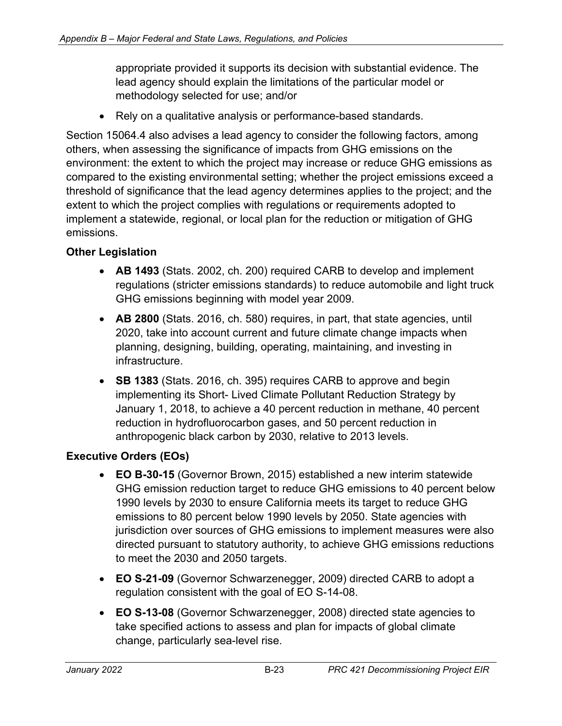appropriate provided it supports its decision with substantial evidence. The lead agency should explain the limitations of the particular model or methodology selected for use; and/or

• Rely on a qualitative analysis or performance-based standards.

Section 15064.4 also advises a lead agency to consider the following factors, among others, when assessing the significance of impacts from GHG emissions on the environment: the extent to which the project may increase or reduce GHG emissions as compared to the existing environmental setting; whether the project emissions exceed a threshold of significance that the lead agency determines applies to the project; and the extent to which the project complies with regulations or requirements adopted to implement a statewide, regional, or local plan for the reduction or mitigation of GHG emissions.

### **Other Legislation**

- **AB 1493** (Stats. 2002, ch. 200) required CARB to develop and implement regulations (stricter emissions standards) to reduce automobile and light truck GHG emissions beginning with model year 2009.
- **AB 2800** (Stats. 2016, ch. 580) requires, in part, that state agencies, until 2020, take into account current and future climate change impacts when planning, designing, building, operating, maintaining, and investing in infrastructure.
- **SB 1383** (Stats. 2016, ch. 395) requires CARB to approve and begin implementing its Short- Lived Climate Pollutant Reduction Strategy by January 1, 2018, to achieve a 40 percent reduction in methane, 40 percent reduction in hydrofluorocarbon gases, and 50 percent reduction in anthropogenic black carbon by 2030, relative to 2013 levels.

### **Executive Orders (EOs)**

- **EO B-30-15** (Governor Brown, 2015) established a new interim statewide GHG emission reduction target to reduce GHG emissions to 40 percent below 1990 levels by 2030 to ensure California meets its target to reduce GHG emissions to 80 percent below 1990 levels by 2050. State agencies with jurisdiction over sources of GHG emissions to implement measures were also directed pursuant to statutory authority, to achieve GHG emissions reductions to meet the 2030 and 2050 targets.
- **EO S-21-09** (Governor Schwarzenegger, 2009) directed CARB to adopt a regulation consistent with the goal of EO S-14-08.
- **EO S-13-08** (Governor Schwarzenegger, 2008) directed state agencies to take specified actions to assess and plan for impacts of global climate change, particularly sea-level rise.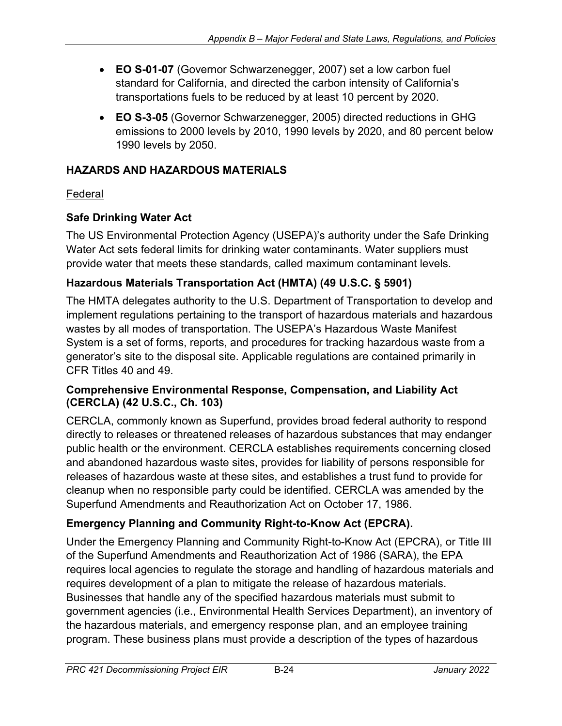- **EO S-01-07** (Governor Schwarzenegger, 2007) set a low carbon fuel standard for California, and directed the carbon intensity of California's transportations fuels to be reduced by at least 10 percent by 2020.
- **EO S-3-05** (Governor Schwarzenegger, 2005) directed reductions in GHG emissions to 2000 levels by 2010, 1990 levels by 2020, and 80 percent below 1990 levels by 2050.

## **HAZARDS AND HAZARDOUS MATERIALS**

## Federal

## **Safe Drinking Water Act**

The US Environmental Protection Agency (USEPA)'s authority under the Safe Drinking Water Act sets federal limits for drinking water contaminants. Water suppliers must provide water that meets these standards, called maximum contaminant levels.

## **Hazardous Materials Transportation Act (HMTA) (49 U.S.C. § 5901)**

The HMTA delegates authority to the U.S. Department of Transportation to develop and implement regulations pertaining to the transport of hazardous materials and hazardous wastes by all modes of transportation. The USEPA's Hazardous Waste Manifest System is a set of forms, reports, and procedures for tracking hazardous waste from a generator's site to the disposal site. Applicable regulations are contained primarily in CFR Titles 40 and 49.

### **Comprehensive Environmental Response, Compensation, and Liability Act (CERCLA) (42 U.S.C., Ch. 103)**

CERCLA, commonly known as Superfund, provides broad federal authority to respond directly to releases or threatened releases of hazardous substances that may endanger public health or the environment. CERCLA establishes requirements concerning closed and abandoned hazardous waste sites, provides for liability of persons responsible for releases of hazardous waste at these sites, and establishes a trust fund to provide for cleanup when no responsible party could be identified. CERCLA was amended by the Superfund Amendments and Reauthorization Act on October 17, 1986.

# **Emergency Planning and Community Right-to-Know Act (EPCRA).**

Under the Emergency Planning and Community Right-to-Know Act (EPCRA), or Title III of the Superfund Amendments and Reauthorization Act of 1986 (SARA), the EPA requires local agencies to regulate the storage and handling of hazardous materials and requires development of a plan to mitigate the release of hazardous materials. Businesses that handle any of the specified hazardous materials must submit to government agencies (i.e., Environmental Health Services Department), an inventory of the hazardous materials, and emergency response plan, and an employee training program. These business plans must provide a description of the types of hazardous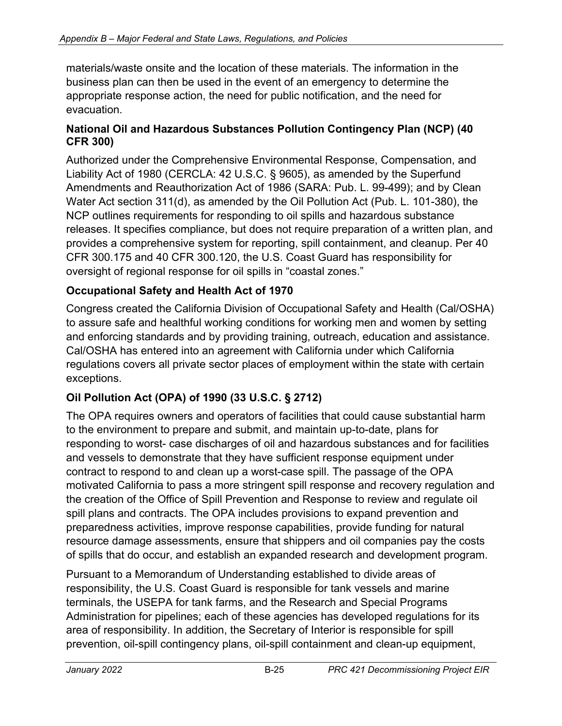materials/waste onsite and the location of these materials. The information in the business plan can then be used in the event of an emergency to determine the appropriate response action, the need for public notification, and the need for evacuation.

#### **National Oil and Hazardous Substances Pollution Contingency Plan (NCP) (40 CFR 300)**

Authorized under the Comprehensive Environmental Response, Compensation, and Liability Act of 1980 (CERCLA: 42 U.S.C. § 9605), as amended by the Superfund Amendments and Reauthorization Act of 1986 (SARA: Pub. L. 99-499); and by Clean Water Act section 311(d), as amended by the Oil Pollution Act (Pub. L. 101-380), the NCP outlines requirements for responding to oil spills and hazardous substance releases. It specifies compliance, but does not require preparation of a written plan, and provides a comprehensive system for reporting, spill containment, and cleanup. Per 40 CFR 300.175 and 40 CFR 300.120, the U.S. Coast Guard has responsibility for oversight of regional response for oil spills in "coastal zones."

## **Occupational Safety and Health Act of 1970**

Congress created the California Division of Occupational Safety and Health (Cal/OSHA) to assure safe and healthful working conditions for working men and women by setting and enforcing standards and by providing training, outreach, education and assistance. Cal/OSHA has entered into an agreement with California under which California regulations covers all private sector places of employment within the state with certain exceptions.

## **Oil Pollution Act (OPA) of 1990 (33 U.S.C. § 2712)**

The OPA requires owners and operators of facilities that could cause substantial harm to the environment to prepare and submit, and maintain up-to-date, plans for responding to worst- case discharges of oil and hazardous substances and for facilities and vessels to demonstrate that they have sufficient response equipment under contract to respond to and clean up a worst-case spill. The passage of the OPA motivated California to pass a more stringent spill response and recovery regulation and the creation of the Office of Spill Prevention and Response to review and regulate oil spill plans and contracts. The OPA includes provisions to expand prevention and preparedness activities, improve response capabilities, provide funding for natural resource damage assessments, ensure that shippers and oil companies pay the costs of spills that do occur, and establish an expanded research and development program.

Pursuant to a Memorandum of Understanding established to divide areas of responsibility, the U.S. Coast Guard is responsible for tank vessels and marine terminals, the USEPA for tank farms, and the Research and Special Programs Administration for pipelines; each of these agencies has developed regulations for its area of responsibility. In addition, the Secretary of Interior is responsible for spill prevention, oil-spill contingency plans, oil-spill containment and clean-up equipment,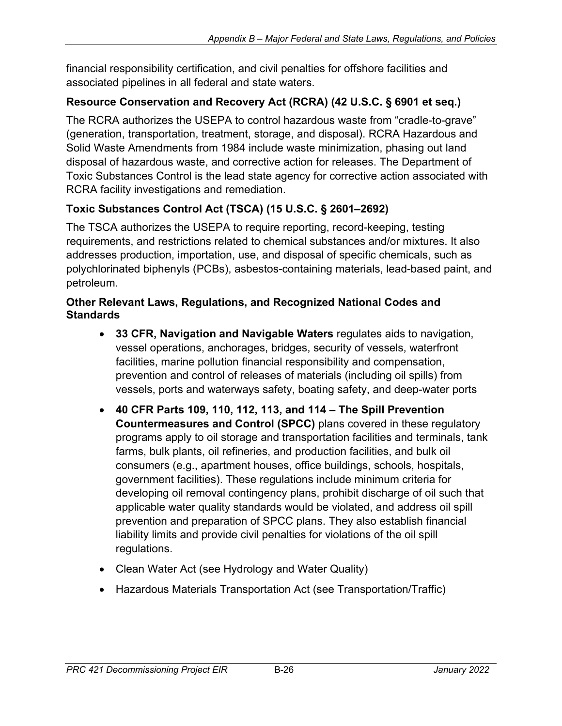financial responsibility certification, and civil penalties for offshore facilities and associated pipelines in all federal and state waters.

## **Resource Conservation and Recovery Act (RCRA) (42 U.S.C. § 6901 et seq.)**

The RCRA authorizes the USEPA to control hazardous waste from "cradle-to-grave" (generation, transportation, treatment, storage, and disposal). RCRA Hazardous and Solid Waste Amendments from 1984 include waste minimization, phasing out land disposal of hazardous waste, and corrective action for releases. The Department of Toxic Substances Control is the lead state agency for corrective action associated with RCRA facility investigations and remediation.

## **Toxic Substances Control Act (TSCA) (15 U.S.C. § 2601–2692)**

The TSCA authorizes the USEPA to require reporting, record-keeping, testing requirements, and restrictions related to chemical substances and/or mixtures. It also addresses production, importation, use, and disposal of specific chemicals, such as polychlorinated biphenyls (PCBs), asbestos-containing materials, lead-based paint, and petroleum.

#### **Other Relevant Laws, Regulations, and Recognized National Codes and Standards**

- **33 CFR, Navigation and Navigable Waters** regulates aids to navigation, vessel operations, anchorages, bridges, security of vessels, waterfront facilities, marine pollution financial responsibility and compensation, prevention and control of releases of materials (including oil spills) from vessels, ports and waterways safety, boating safety, and deep-water ports
- **40 CFR Parts 109, 110, 112, 113, and 114 – The Spill Prevention Countermeasures and Control (SPCC)** plans covered in these regulatory programs apply to oil storage and transportation facilities and terminals, tank farms, bulk plants, oil refineries, and production facilities, and bulk oil consumers (e.g., apartment houses, office buildings, schools, hospitals, government facilities). These regulations include minimum criteria for developing oil removal contingency plans, prohibit discharge of oil such that applicable water quality standards would be violated, and address oil spill prevention and preparation of SPCC plans. They also establish financial liability limits and provide civil penalties for violations of the oil spill regulations.
- Clean Water Act (see Hydrology and Water Quality)
- Hazardous Materials Transportation Act (see Transportation/Traffic)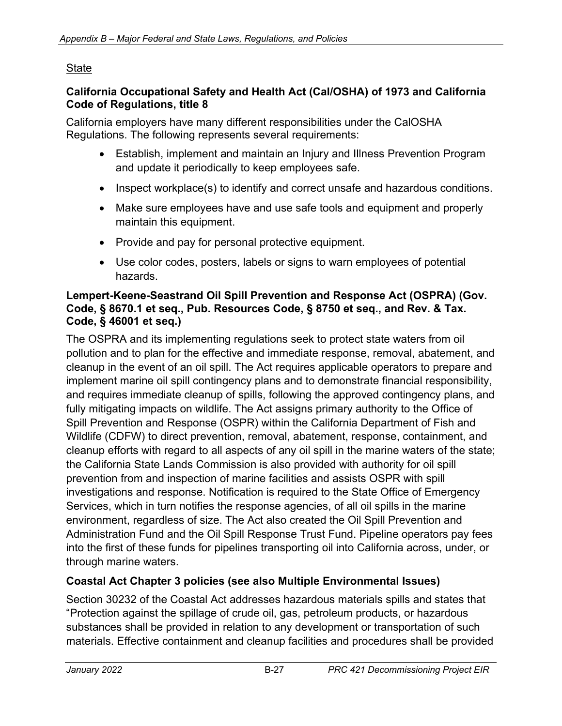#### **State**

#### **California Occupational Safety and Health Act (Cal/OSHA) of 1973 and California Code of Regulations, title 8**

California employers have many different responsibilities under the CalOSHA Regulations. The following represents several requirements:

- Establish, implement and maintain an Injury and Illness Prevention Program and update it periodically to keep employees safe.
- Inspect workplace(s) to identify and correct unsafe and hazardous conditions.
- Make sure employees have and use safe tools and equipment and properly maintain this equipment.
- Provide and pay for personal protective equipment.
- Use color codes, posters, labels or signs to warn employees of potential hazards.

#### **Lempert-Keene-Seastrand Oil Spill Prevention and Response Act (OSPRA) (Gov. Code, § 8670.1 et seq., Pub. Resources Code, § 8750 et seq., and Rev. & Tax. Code, § 46001 et seq.)**

The OSPRA and its implementing regulations seek to protect state waters from oil pollution and to plan for the effective and immediate response, removal, abatement, and cleanup in the event of an oil spill. The Act requires applicable operators to prepare and implement marine oil spill contingency plans and to demonstrate financial responsibility, and requires immediate cleanup of spills, following the approved contingency plans, and fully mitigating impacts on wildlife. The Act assigns primary authority to the Office of Spill Prevention and Response (OSPR) within the California Department of Fish and Wildlife (CDFW) to direct prevention, removal, abatement, response, containment, and cleanup efforts with regard to all aspects of any oil spill in the marine waters of the state; the California State Lands Commission is also provided with authority for oil spill prevention from and inspection of marine facilities and assists OSPR with spill investigations and response. Notification is required to the State Office of Emergency Services, which in turn notifies the response agencies, of all oil spills in the marine environment, regardless of size. The Act also created the Oil Spill Prevention and Administration Fund and the Oil Spill Response Trust Fund. Pipeline operators pay fees into the first of these funds for pipelines transporting oil into California across, under, or through marine waters.

### **Coastal Act Chapter 3 policies (see also Multiple Environmental Issues)**

Section 30232 of the Coastal Act addresses hazardous materials spills and states that "Protection against the spillage of crude oil, gas, petroleum products, or hazardous substances shall be provided in relation to any development or transportation of such materials. Effective containment and cleanup facilities and procedures shall be provided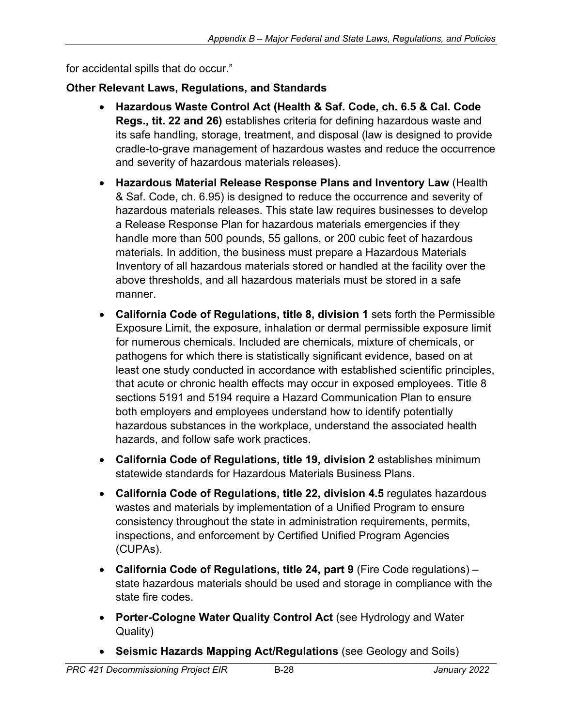for accidental spills that do occur."

### **Other Relevant Laws, Regulations, and Standards**

- **Hazardous Waste Control Act (Health & Saf. Code, ch. 6.5 & Cal. Code Regs., tit. 22 and 26)** establishes criteria for defining hazardous waste and its safe handling, storage, treatment, and disposal (law is designed to provide cradle-to-grave management of hazardous wastes and reduce the occurrence and severity of hazardous materials releases).
- **Hazardous Material Release Response Plans and Inventory Law** (Health & Saf. Code, ch. 6.95) is designed to reduce the occurrence and severity of hazardous materials releases. This state law requires businesses to develop a Release Response Plan for hazardous materials emergencies if they handle more than 500 pounds, 55 gallons, or 200 cubic feet of hazardous materials. In addition, the business must prepare a Hazardous Materials Inventory of all hazardous materials stored or handled at the facility over the above thresholds, and all hazardous materials must be stored in a safe manner.
- **California Code of Regulations, title 8, division 1** sets forth the Permissible Exposure Limit, the exposure, inhalation or dermal permissible exposure limit for numerous chemicals. Included are chemicals, mixture of chemicals, or pathogens for which there is statistically significant evidence, based on at least one study conducted in accordance with established scientific principles, that acute or chronic health effects may occur in exposed employees. Title 8 sections 5191 and 5194 require a Hazard Communication Plan to ensure both employers and employees understand how to identify potentially hazardous substances in the workplace, understand the associated health hazards, and follow safe work practices.
- **California Code of Regulations, title 19, division 2** establishes minimum statewide standards for Hazardous Materials Business Plans.
- **California Code of Regulations, title 22, division 4.5** regulates hazardous wastes and materials by implementation of a Unified Program to ensure consistency throughout the state in administration requirements, permits, inspections, and enforcement by Certified Unified Program Agencies (CUPAs).
- **California Code of Regulations, title 24, part 9** (Fire Code regulations) state hazardous materials should be used and storage in compliance with the state fire codes.
- **Porter-Cologne Water Quality Control Act** (see Hydrology and Water Quality)
- **Seismic Hazards Mapping Act/Regulations** (see Geology and Soils)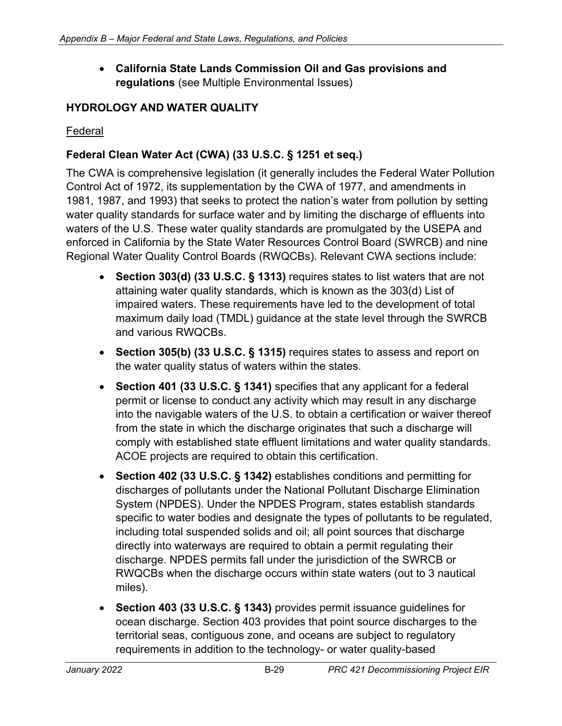• **California State Lands Commission Oil and Gas provisions and regulations** (see Multiple Environmental Issues)

#### **HYDROLOGY AND WATER QUALITY**

#### Federal

### **Federal Clean Water Act (CWA) (33 U.S.C. § 1251 et seq.)**

The CWA is comprehensive legislation (it generally includes the Federal Water Pollution Control Act of 1972, its supplementation by the CWA of 1977, and amendments in 1981, 1987, and 1993) that seeks to protect the nation's water from pollution by setting water quality standards for surface water and by limiting the discharge of effluents into waters of the U.S. These water quality standards are promulgated by the USEPA and enforced in California by the State Water Resources Control Board (SWRCB) and nine Regional Water Quality Control Boards (RWQCBs). Relevant CWA sections include:

- **Section 303(d) (33 U.S.C. § 1313)** requires states to list waters that are not attaining water quality standards, which is known as the 303(d) List of impaired waters. These requirements have led to the development of total maximum daily load (TMDL) guidance at the state level through the SWRCB and various RWQCBs.
- **Section 305(b) (33 U.S.C. § 1315)** requires states to assess and report on the water quality status of waters within the states.
- **Section 401 (33 U.S.C. § 1341)** specifies that any applicant for a federal permit or license to conduct any activity which may result in any discharge into the navigable waters of the U.S. to obtain a certification or waiver thereof from the state in which the discharge originates that such a discharge will comply with established state effluent limitations and water quality standards. ACOE projects are required to obtain this certification.
- **Section 402 (33 U.S.C. § 1342)** establishes conditions and permitting for discharges of pollutants under the National Pollutant Discharge Elimination System (NPDES). Under the NPDES Program, states establish standards specific to water bodies and designate the types of pollutants to be regulated, including total suspended solids and oil; all point sources that discharge directly into waterways are required to obtain a permit regulating their discharge. NPDES permits fall under the jurisdiction of the SWRCB or RWQCBs when the discharge occurs within state waters (out to 3 nautical miles).
- **Section 403 (33 U.S.C. § 1343)** provides permit issuance guidelines for ocean discharge. Section 403 provides that point source discharges to the territorial seas, contiguous zone, and oceans are subject to regulatory requirements in addition to the technology- or water quality-based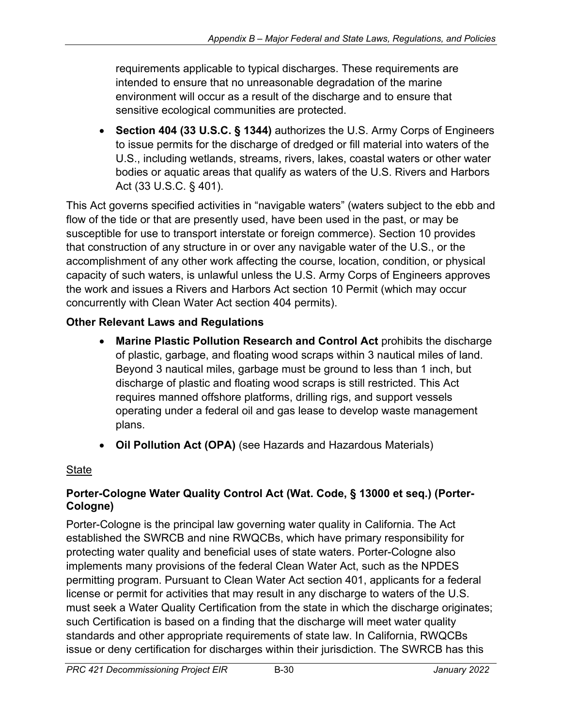requirements applicable to typical discharges. These requirements are intended to ensure that no unreasonable degradation of the marine environment will occur as a result of the discharge and to ensure that sensitive ecological communities are protected.

• **Section 404 (33 U.S.C. § 1344)** authorizes the U.S. Army Corps of Engineers to issue permits for the discharge of dredged or fill material into waters of the U.S., including wetlands, streams, rivers, lakes, coastal waters or other water bodies or aquatic areas that qualify as waters of the U.S. Rivers and Harbors Act (33 U.S.C. § 401).

This Act governs specified activities in "navigable waters" (waters subject to the ebb and flow of the tide or that are presently used, have been used in the past, or may be susceptible for use to transport interstate or foreign commerce). Section 10 provides that construction of any structure in or over any navigable water of the U.S., or the accomplishment of any other work affecting the course, location, condition, or physical capacity of such waters, is unlawful unless the U.S. Army Corps of Engineers approves the work and issues a Rivers and Harbors Act section 10 Permit (which may occur concurrently with Clean Water Act section 404 permits).

## **Other Relevant Laws and Regulations**

- **Marine Plastic Pollution Research and Control Act** prohibits the discharge of plastic, garbage, and floating wood scraps within 3 nautical miles of land. Beyond 3 nautical miles, garbage must be ground to less than 1 inch, but discharge of plastic and floating wood scraps is still restricted. This Act requires manned offshore platforms, drilling rigs, and support vessels operating under a federal oil and gas lease to develop waste management plans.
- **Oil Pollution Act (OPA)** (see Hazards and Hazardous Materials)

### **State**

### **Porter-Cologne Water Quality Control Act (Wat. Code, § 13000 et seq.) (Porter-Cologne)**

Porter-Cologne is the principal law governing water quality in California. The Act established the SWRCB and nine RWQCBs, which have primary responsibility for protecting water quality and beneficial uses of state waters. Porter-Cologne also implements many provisions of the federal Clean Water Act, such as the NPDES permitting program. Pursuant to Clean Water Act section 401, applicants for a federal license or permit for activities that may result in any discharge to waters of the U.S. must seek a Water Quality Certification from the state in which the discharge originates; such Certification is based on a finding that the discharge will meet water quality standards and other appropriate requirements of state law. In California, RWQCBs issue or deny certification for discharges within their jurisdiction. The SWRCB has this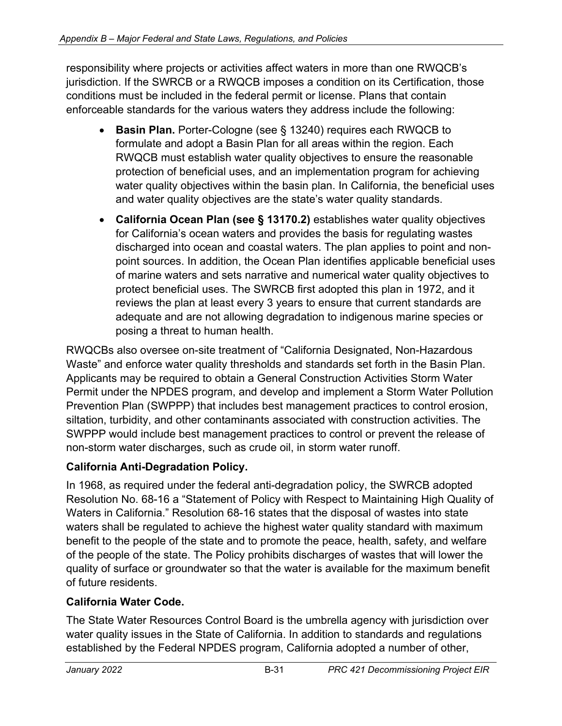responsibility where projects or activities affect waters in more than one RWQCB's jurisdiction. If the SWRCB or a RWQCB imposes a condition on its Certification, those conditions must be included in the federal permit or license. Plans that contain enforceable standards for the various waters they address include the following:

- **Basin Plan.** Porter-Cologne (see § 13240) requires each RWQCB to formulate and adopt a Basin Plan for all areas within the region. Each RWQCB must establish water quality objectives to ensure the reasonable protection of beneficial uses, and an implementation program for achieving water quality objectives within the basin plan. In California, the beneficial uses and water quality objectives are the state's water quality standards.
- **California Ocean Plan (see § 13170.2)** establishes water quality objectives for California's ocean waters and provides the basis for regulating wastes discharged into ocean and coastal waters. The plan applies to point and nonpoint sources. In addition, the Ocean Plan identifies applicable beneficial uses of marine waters and sets narrative and numerical water quality objectives to protect beneficial uses. The SWRCB first adopted this plan in 1972, and it reviews the plan at least every 3 years to ensure that current standards are adequate and are not allowing degradation to indigenous marine species or posing a threat to human health.

RWQCBs also oversee on-site treatment of "California Designated, Non-Hazardous Waste" and enforce water quality thresholds and standards set forth in the Basin Plan. Applicants may be required to obtain a General Construction Activities Storm Water Permit under the NPDES program, and develop and implement a Storm Water Pollution Prevention Plan (SWPPP) that includes best management practices to control erosion, siltation, turbidity, and other contaminants associated with construction activities. The SWPPP would include best management practices to control or prevent the release of non-storm water discharges, such as crude oil, in storm water runoff.

## **California Anti-Degradation Policy.**

In 1968, as required under the federal anti-degradation policy, the SWRCB adopted Resolution No. 68-16 a "Statement of Policy with Respect to Maintaining High Quality of Waters in California." Resolution 68-16 states that the disposal of wastes into state waters shall be regulated to achieve the highest water quality standard with maximum benefit to the people of the state and to promote the peace, health, safety, and welfare of the people of the state. The Policy prohibits discharges of wastes that will lower the quality of surface or groundwater so that the water is available for the maximum benefit of future residents.

### **California Water Code.**

The State Water Resources Control Board is the umbrella agency with jurisdiction over water quality issues in the State of California. In addition to standards and regulations established by the Federal NPDES program, California adopted a number of other,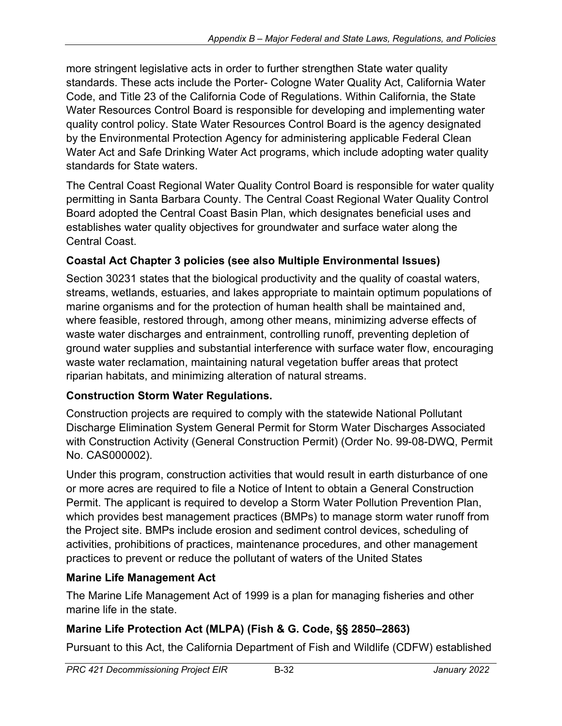more stringent legislative acts in order to further strengthen State water quality standards. These acts include the Porter- Cologne Water Quality Act, California Water Code, and Title 23 of the California Code of Regulations. Within California, the State Water Resources Control Board is responsible for developing and implementing water quality control policy. State Water Resources Control Board is the agency designated by the Environmental Protection Agency for administering applicable Federal Clean Water Act and Safe Drinking Water Act programs, which include adopting water quality standards for State waters.

The Central Coast Regional Water Quality Control Board is responsible for water quality permitting in Santa Barbara County. The Central Coast Regional Water Quality Control Board adopted the Central Coast Basin Plan, which designates beneficial uses and establishes water quality objectives for groundwater and surface water along the Central Coast.

## **Coastal Act Chapter 3 policies (see also Multiple Environmental Issues)**

Section 30231 states that the biological productivity and the quality of coastal waters, streams, wetlands, estuaries, and lakes appropriate to maintain optimum populations of marine organisms and for the protection of human health shall be maintained and, where feasible, restored through, among other means, minimizing adverse effects of waste water discharges and entrainment, controlling runoff, preventing depletion of ground water supplies and substantial interference with surface water flow, encouraging waste water reclamation, maintaining natural vegetation buffer areas that protect riparian habitats, and minimizing alteration of natural streams.

### **Construction Storm Water Regulations.**

Construction projects are required to comply with the statewide National Pollutant Discharge Elimination System General Permit for Storm Water Discharges Associated with Construction Activity (General Construction Permit) (Order No. 99-08-DWQ, Permit No. CAS000002).

Under this program, construction activities that would result in earth disturbance of one or more acres are required to file a Notice of Intent to obtain a General Construction Permit. The applicant is required to develop a Storm Water Pollution Prevention Plan, which provides best management practices (BMPs) to manage storm water runoff from the Project site. BMPs include erosion and sediment control devices, scheduling of activities, prohibitions of practices, maintenance procedures, and other management practices to prevent or reduce the pollutant of waters of the United States

## **Marine Life Management Act**

The Marine Life Management Act of 1999 is a plan for managing fisheries and other marine life in the state.

# **Marine Life Protection Act (MLPA) (Fish & G. Code, §§ 2850–2863)**

Pursuant to this Act, the California Department of Fish and Wildlife (CDFW) established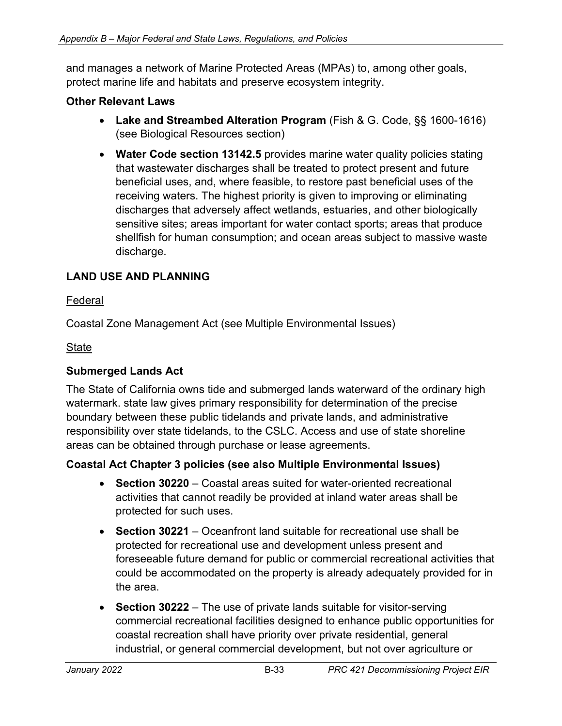and manages a network of Marine Protected Areas (MPAs) to, among other goals, protect marine life and habitats and preserve ecosystem integrity.

#### **Other Relevant Laws**

- **Lake and Streambed Alteration Program** (Fish & G. Code, §§ 1600-1616) (see Biological Resources section)
- **Water Code section 13142.5** provides marine water quality policies stating that wastewater discharges shall be treated to protect present and future beneficial uses, and, where feasible, to restore past beneficial uses of the receiving waters. The highest priority is given to improving or eliminating discharges that adversely affect wetlands, estuaries, and other biologically sensitive sites; areas important for water contact sports; areas that produce shellfish for human consumption; and ocean areas subject to massive waste discharge.

### **LAND USE AND PLANNING**

#### Federal

Coastal Zone Management Act (see Multiple Environmental Issues)

#### **State**

#### **Submerged Lands Act**

The State of California owns tide and submerged lands waterward of the ordinary high watermark. state law gives primary responsibility for determination of the precise boundary between these public tidelands and private lands, and administrative responsibility over state tidelands, to the CSLC. Access and use of state shoreline areas can be obtained through purchase or lease agreements.

#### **Coastal Act Chapter 3 policies (see also Multiple Environmental Issues)**

- **Section 30220** Coastal areas suited for water-oriented recreational activities that cannot readily be provided at inland water areas shall be protected for such uses.
- **Section 30221** Oceanfront land suitable for recreational use shall be protected for recreational use and development unless present and foreseeable future demand for public or commercial recreational activities that could be accommodated on the property is already adequately provided for in the area.
- **Section 30222**  The use of private lands suitable for visitor-serving commercial recreational facilities designed to enhance public opportunities for coastal recreation shall have priority over private residential, general industrial, or general commercial development, but not over agriculture or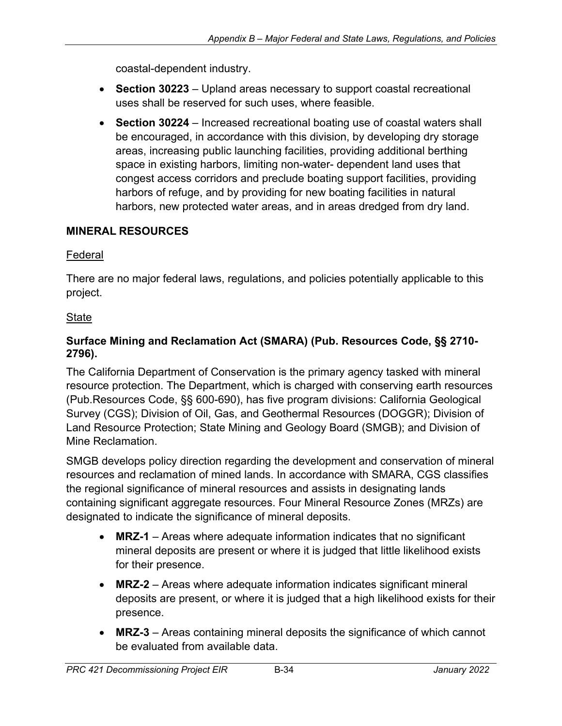coastal-dependent industry.

- **Section 30223** Upland areas necessary to support coastal recreational uses shall be reserved for such uses, where feasible.
- **Section 30224** Increased recreational boating use of coastal waters shall be encouraged, in accordance with this division, by developing dry storage areas, increasing public launching facilities, providing additional berthing space in existing harbors, limiting non-water- dependent land uses that congest access corridors and preclude boating support facilities, providing harbors of refuge, and by providing for new boating facilities in natural harbors, new protected water areas, and in areas dredged from dry land.

### **MINERAL RESOURCES**

#### Federal

There are no major federal laws, regulations, and policies potentially applicable to this project.

### **State**

#### **Surface Mining and Reclamation Act (SMARA) (Pub. Resources Code, §§ 2710- 2796).**

The California Department of Conservation is the primary agency tasked with mineral resource protection. The Department, which is charged with conserving earth resources (Pub.Resources Code, §§ 600-690), has five program divisions: California Geological Survey (CGS); Division of Oil, Gas, and Geothermal Resources (DOGGR); Division of Land Resource Protection; State Mining and Geology Board (SMGB); and Division of Mine Reclamation.

SMGB develops policy direction regarding the development and conservation of mineral resources and reclamation of mined lands. In accordance with SMARA, CGS classifies the regional significance of mineral resources and assists in designating lands containing significant aggregate resources. Four Mineral Resource Zones (MRZs) are designated to indicate the significance of mineral deposits.

- **MRZ-1** Areas where adequate information indicates that no significant mineral deposits are present or where it is judged that little likelihood exists for their presence.
- **MRZ-2** Areas where adequate information indicates significant mineral deposits are present, or where it is judged that a high likelihood exists for their presence.
- **MRZ-3** Areas containing mineral deposits the significance of which cannot be evaluated from available data.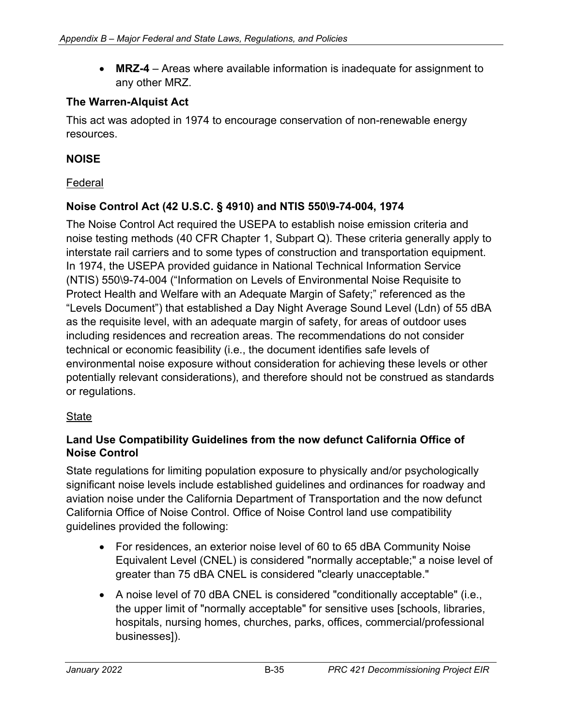• **MRZ-4** – Areas where available information is inadequate for assignment to any other MRZ.

#### **The Warren-Alquist Act**

This act was adopted in 1974 to encourage conservation of non-renewable energy resources.

#### **NOISE**

#### Federal

#### **Noise Control Act (42 U.S.C. § 4910) and NTIS 550\9-74-004, 1974**

The Noise Control Act required the USEPA to establish noise emission criteria and noise testing methods (40 CFR Chapter 1, Subpart Q). These criteria generally apply to interstate rail carriers and to some types of construction and transportation equipment. In 1974, the USEPA provided guidance in National Technical Information Service (NTIS) 550\9-74-004 ("Information on Levels of Environmental Noise Requisite to Protect Health and Welfare with an Adequate Margin of Safety;" referenced as the "Levels Document") that established a Day Night Average Sound Level (Ldn) of 55 dBA as the requisite level, with an adequate margin of safety, for areas of outdoor uses including residences and recreation areas. The recommendations do not consider technical or economic feasibility (i.e., the document identifies safe levels of environmental noise exposure without consideration for achieving these levels or other potentially relevant considerations), and therefore should not be construed as standards or regulations.

#### State

#### **Land Use Compatibility Guidelines from the now defunct California Office of Noise Control**

State regulations for limiting population exposure to physically and/or psychologically significant noise levels include established guidelines and ordinances for roadway and aviation noise under the California Department of Transportation and the now defunct California Office of Noise Control. Office of Noise Control land use compatibility guidelines provided the following:

- For residences, an exterior noise level of 60 to 65 dBA Community Noise Equivalent Level (CNEL) is considered "normally acceptable;" a noise level of greater than 75 dBA CNEL is considered "clearly unacceptable."
- A noise level of 70 dBA CNEL is considered "conditionally acceptable" (i.e., the upper limit of "normally acceptable" for sensitive uses [schools, libraries, hospitals, nursing homes, churches, parks, offices, commercial/professional businesses]).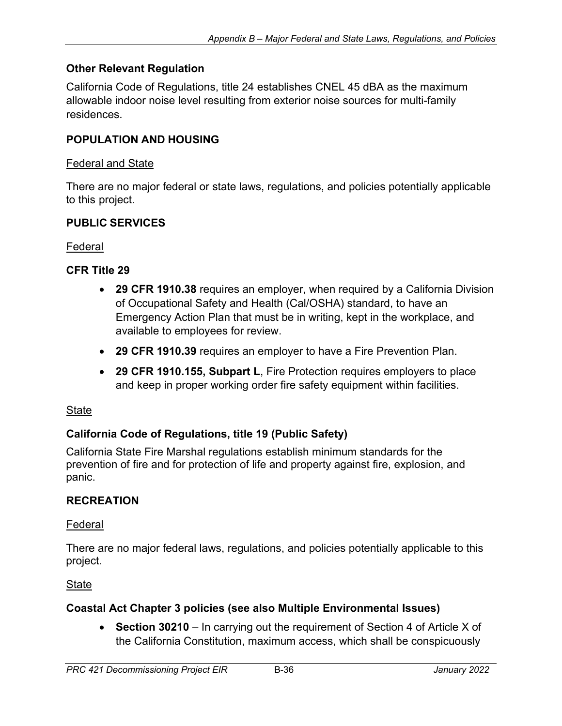#### **Other Relevant Regulation**

California Code of Regulations, title 24 establishes CNEL 45 dBA as the maximum allowable indoor noise level resulting from exterior noise sources for multi-family residences.

#### **POPULATION AND HOUSING**

#### Federal and State

There are no major federal or state laws, regulations, and policies potentially applicable to this project.

#### **PUBLIC SERVICES**

#### Federal

#### **CFR Title 29**

- **29 CFR 1910.38** requires an employer, when required by a California Division of Occupational Safety and Health (Cal/OSHA) standard, to have an Emergency Action Plan that must be in writing, kept in the workplace, and available to employees for review.
- **29 CFR 1910.39** requires an employer to have a Fire Prevention Plan.
- **29 CFR 1910.155, Subpart L**, Fire Protection requires employers to place and keep in proper working order fire safety equipment within facilities.

#### **State**

#### **California Code of Regulations, title 19 (Public Safety)**

California State Fire Marshal regulations establish minimum standards for the prevention of fire and for protection of life and property against fire, explosion, and panic.

#### **RECREATION**

#### Federal

There are no major federal laws, regulations, and policies potentially applicable to this project.

**State** 

#### **Coastal Act Chapter 3 policies (see also Multiple Environmental Issues)**

• **Section 30210** – In carrying out the requirement of Section 4 of Article X of the California Constitution, maximum access, which shall be conspicuously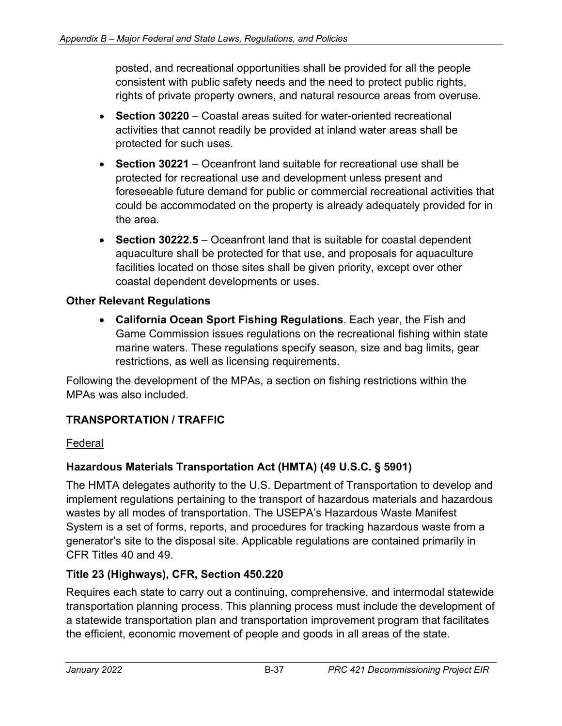posted, and recreational opportunities shall be provided for all the people consistent with public safety needs and the need to protect public rights, rights of private property owners, and natural resource areas from overuse.

- **Section 30220** Coastal areas suited for water-oriented recreational activities that cannot readily be provided at inland water areas shall be protected for such uses.
- **Section 30221** Oceanfront land suitable for recreational use shall be protected for recreational use and development unless present and foreseeable future demand for public or commercial recreational activities that could be accommodated on the property is already adequately provided for in the area.
- **Section 30222.5**  Oceanfront land that is suitable for coastal dependent aquaculture shall be protected for that use, and proposals for aquaculture facilities located on those sites shall be given priority, except over other coastal dependent developments or uses.

#### **Other Relevant Regulations**

• **California Ocean Sport Fishing Regulations**. Each year, the Fish and Game Commission issues regulations on the recreational fishing within state marine waters. These regulations specify season, size and bag limits, gear restrictions, as well as licensing requirements.

Following the development of the MPAs, a section on fishing restrictions within the MPAs was also included.

### **TRANSPORTATION / TRAFFIC**

#### Federal

#### **Hazardous Materials Transportation Act (HMTA) (49 U.S.C. § 5901)**

The HMTA delegates authority to the U.S. Department of Transportation to develop and implement regulations pertaining to the transport of hazardous materials and hazardous wastes by all modes of transportation. The USEPA's Hazardous Waste Manifest System is a set of forms, reports, and procedures for tracking hazardous waste from a generator's site to the disposal site. Applicable regulations are contained primarily in CFR Titles 40 and 49.

#### **Title 23 (Highways), CFR, Section 450.220**

Requires each state to carry out a continuing, comprehensive, and intermodal statewide transportation planning process. This planning process must include the development of a statewide transportation plan and transportation improvement program that facilitates the efficient, economic movement of people and goods in all areas of the state.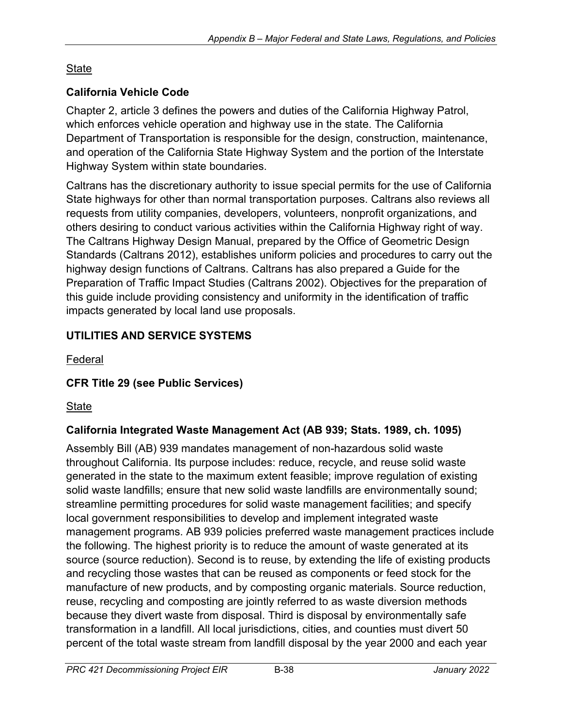# **State**

## **California Vehicle Code**

Chapter 2, article 3 defines the powers and duties of the California Highway Patrol, which enforces vehicle operation and highway use in the state. The California Department of Transportation is responsible for the design, construction, maintenance, and operation of the California State Highway System and the portion of the Interstate Highway System within state boundaries.

Caltrans has the discretionary authority to issue special permits for the use of California State highways for other than normal transportation purposes. Caltrans also reviews all requests from utility companies, developers, volunteers, nonprofit organizations, and others desiring to conduct various activities within the California Highway right of way. The Caltrans Highway Design Manual, prepared by the Office of Geometric Design Standards (Caltrans 2012), establishes uniform policies and procedures to carry out the highway design functions of Caltrans. Caltrans has also prepared a Guide for the Preparation of Traffic Impact Studies (Caltrans 2002). Objectives for the preparation of this guide include providing consistency and uniformity in the identification of traffic impacts generated by local land use proposals.

# **UTILITIES AND SERVICE SYSTEMS**

Federal

# **CFR Title 29 (see Public Services)**

State

# **California Integrated Waste Management Act (AB 939; Stats. 1989, ch. 1095)**

Assembly Bill (AB) 939 mandates management of non-hazardous solid waste throughout California. Its purpose includes: reduce, recycle, and reuse solid waste generated in the state to the maximum extent feasible; improve regulation of existing solid waste landfills; ensure that new solid waste landfills are environmentally sound; streamline permitting procedures for solid waste management facilities; and specify local government responsibilities to develop and implement integrated waste management programs. AB 939 policies preferred waste management practices include the following. The highest priority is to reduce the amount of waste generated at its source (source reduction). Second is to reuse, by extending the life of existing products and recycling those wastes that can be reused as components or feed stock for the manufacture of new products, and by composting organic materials. Source reduction, reuse, recycling and composting are jointly referred to as waste diversion methods because they divert waste from disposal. Third is disposal by environmentally safe transformation in a landfill. All local jurisdictions, cities, and counties must divert 50 percent of the total waste stream from landfill disposal by the year 2000 and each year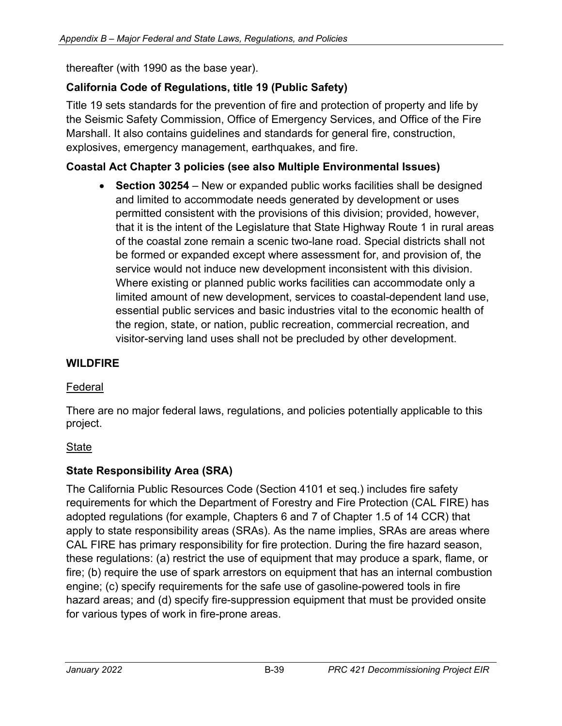thereafter (with 1990 as the base year).

## **California Code of Regulations, title 19 (Public Safety)**

Title 19 sets standards for the prevention of fire and protection of property and life by the Seismic Safety Commission, Office of Emergency Services, and Office of the Fire Marshall. It also contains guidelines and standards for general fire, construction, explosives, emergency management, earthquakes, and fire.

### **Coastal Act Chapter 3 policies (see also Multiple Environmental Issues)**

• **Section 30254** – New or expanded public works facilities shall be designed and limited to accommodate needs generated by development or uses permitted consistent with the provisions of this division; provided, however, that it is the intent of the Legislature that State Highway Route 1 in rural areas of the coastal zone remain a scenic two-lane road. Special districts shall not be formed or expanded except where assessment for, and provision of, the service would not induce new development inconsistent with this division. Where existing or planned public works facilities can accommodate only a limited amount of new development, services to coastal-dependent land use, essential public services and basic industries vital to the economic health of the region, state, or nation, public recreation, commercial recreation, and visitor-serving land uses shall not be precluded by other development.

### **WILDFIRE**

### Federal

There are no major federal laws, regulations, and policies potentially applicable to this project.

### State

### **State Responsibility Area (SRA)**

The California Public Resources Code (Section 4101 et seq.) includes fire safety requirements for which the Department of Forestry and Fire Protection (CAL FIRE) has adopted regulations (for example, Chapters 6 and 7 of Chapter 1.5 of 14 CCR) that apply to state responsibility areas (SRAs). As the name implies, SRAs are areas where CAL FIRE has primary responsibility for fire protection. During the fire hazard season, these regulations: (a) restrict the use of equipment that may produce a spark, flame, or fire; (b) require the use of spark arrestors on equipment that has an internal combustion engine; (c) specify requirements for the safe use of gasoline-powered tools in fire hazard areas; and (d) specify fire-suppression equipment that must be provided onsite for various types of work in fire-prone areas.